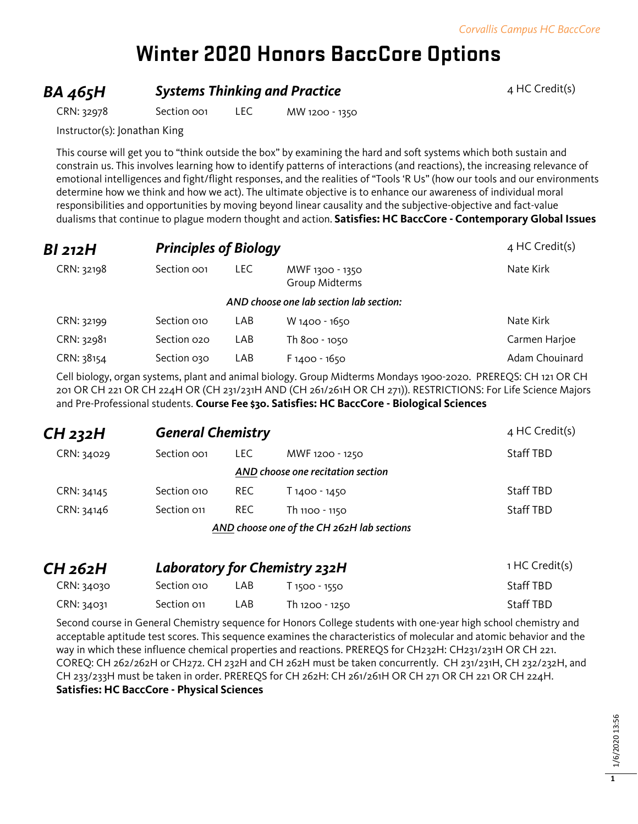# **Winter 2020 Honors BaccCore Options**

### **BA 465H Systems Thinking and Practice** 4 HC Credit(s)

CRN: 32978 Section 001 LEC MW 1200 - 1350

Instructor(s): Jonathan King

This course will get you to "think outside the box" by examining the hard and soft systems which both sustain and constrain us. This involves learning how to identify patterns of interactions (and reactions), the increasing relevance of emotional intelligences and fight/flight responses, and the realities of "Tools 'R Us" (how our tools and our environments determine how we think and how we act). The ultimate objective is to enhance our awareness of individual moral responsibilities and opportunities by moving beyond linear causality and the subjective-objective and fact-value dualisms that continue to plague modern thought and action. **Satisfies: HC BaccCore - Contemporary Global Issues**

| BI 212H    | <b>Principles of Biology</b> | 4 HC Credit(s) |                                         |                |
|------------|------------------------------|----------------|-----------------------------------------|----------------|
| CRN: 32198 | Section oo1                  | LEC.           | MWF 1300 - 1350<br>Group Midterms       | Nate Kirk      |
|            |                              |                | AND choose one lab section lab section: |                |
| CRN: 32199 | Section 010                  | LAB            | W 1400 - 1650                           | Nate Kirk      |
| CRN: 32981 | Section 020                  | LAB            | Th 800 - 1050                           | Carmen Harjoe  |
| CRN: 38154 | Section 030                  | LAB            | $F1400 - 1650$                          | Adam Chouinard |

Cell biology, organ systems, plant and animal biology. Group Midterms Mondays 1900-2020. PREREQS: CH 121 OR CH 201 OR CH 221 OR CH 224H OR (CH 231/231H AND (CH 261/261H OR CH 271)). RESTRICTIONS: For Life Science Majors and Pre-Professional students. **Course Fee \$30. Satisfies: HC BaccCore - Biological Sciences**

| CH 232H    | <b>General Chemistry</b> |       |                                   | 4 HC Credit(s)   |
|------------|--------------------------|-------|-----------------------------------|------------------|
| CRN: 34029 | Section oo <sub>1</sub>  | LEC . | MWF 1200 - 1250                   | <b>Staff TBD</b> |
|            |                          |       | AND choose one recitation section |                  |
| CRN: 34145 | Section 010              | REC.  | T 1400 - 1450                     | Staff TBD        |
| CRN: 34146 | Section 011              | REC.  | Th 1100 - 1150                    | <b>Staff TBD</b> |
|            |                          |       |                                   |                  |

*AND choose one of the CH 262H lab sections*

| CH 262H    | <b>Laboratory for Chemistry 232H</b> |      |                | 1 HC Credit(s)   |
|------------|--------------------------------------|------|----------------|------------------|
| CRN: 34030 | Section 010                          | LAB. | T 1500 - 1550  | <b>Staff TBD</b> |
| CRN: 34031 | Section on                           | LAB  | Th 1200 - 1250 | <b>Staff TBD</b> |

Second course in General Chemistry sequence for Honors College students with one-year high school chemistry and acceptable aptitude test scores. This sequence examines the characteristics of molecular and atomic behavior and the way in which these influence chemical properties and reactions. PREREQS for CH232H: CH231/231H OR CH 221. COREQ: CH 262/262H or CH272. CH 232H and CH 262H must be taken concurrently. CH 231/231H, CH 232/232H, and CH 233/233H must be taken in order. PREREQS for CH 262H: CH 261/261H OR CH 271 OR CH 221 OR CH 224H. **Satisfies: HC BaccCore - Physical Sciences**

**1**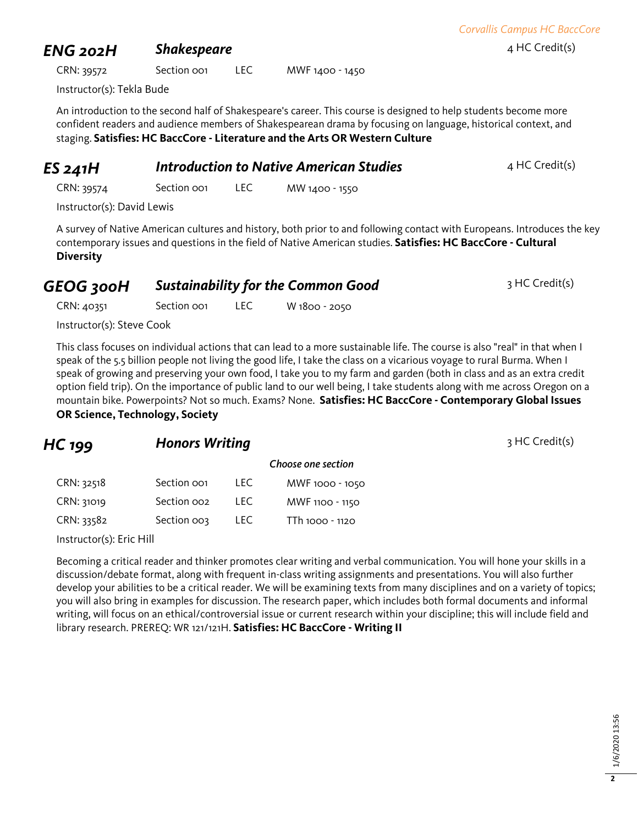### *ENG 202H* **Shakespeare** 4 HC Credit(s)

CRN: 39572 Section 001 LEC MWF 1400 - 1450

Instructor(s): Tekla Bude

An introduction to the second half of Shakespeare's career. This course is designed to help students become more confident readers and audience members of Shakespearean drama by focusing on language, historical context, and staging. **Satisfies: HC BaccCore - Literature and the Arts OR Western Culture**

# **ES 241H** *Introduction to Native American Studies* 4 HC Credit(s)

CRN: 39574 Section 001 LEC MW 1400 - 1550

Instructor(s): David Lewis

A survey of Native American cultures and history, both prior to and following contact with Europeans. Introduces the key contemporary issues and questions in the field of Native American studies. **Satisfies: HC BaccCore - Cultural Diversity**

### **GEOG 300H Sustainability for the Common Good** 3 HC Credit(s)

CRN: 40351 Section 001 LEC W 1800 - 2050

Instructor(s): Steve Cook

This class focuses on individual actions that can lead to a more sustainable life. The course is also "real" in that when I speak of the 5.5 billion people not living the good life, I take the class on a vicarious voyage to rural Burma. When I speak of growing and preserving your own food, I take you to my farm and garden (both in class and as an extra credit option field trip). On the importance of public land to our well being, I take students along with me across Oregon on a mountain bike. Powerpoints? Not so much. Exams? None. **Satisfies: HC BaccCore - Contemporary Global Issues OR Science, Technology, Society**

### **HC 199 Honors Writing HC 199 HC Credit(s)**

|            |                         |      | Choose one section |
|------------|-------------------------|------|--------------------|
| CRN: 32518 | Section oo1             | TEC. | MWF 1000 - 1050    |
| CRN: 31019 | Section oo <sub>2</sub> | TEC. | MWF 1100 - 1150    |
| CRN: 33582 | Section oos             | TEC. | TTh 1000 - 1120    |

Instructor(s): Eric Hill

Becoming a critical reader and thinker promotes clear writing and verbal communication. You will hone your skills in a discussion/debate format, along with frequent in-class writing assignments and presentations. You will also further develop your abilities to be a critical reader. We will be examining texts from many disciplines and on a variety of topics; you will also bring in examples for discussion. The research paper, which includes both formal documents and informal writing, will focus on an ethical/controversial issue or current research within your discipline; this will include field and library research. PREREQ: WR 121/121H. **Satisfies: HC BaccCore - Writing II**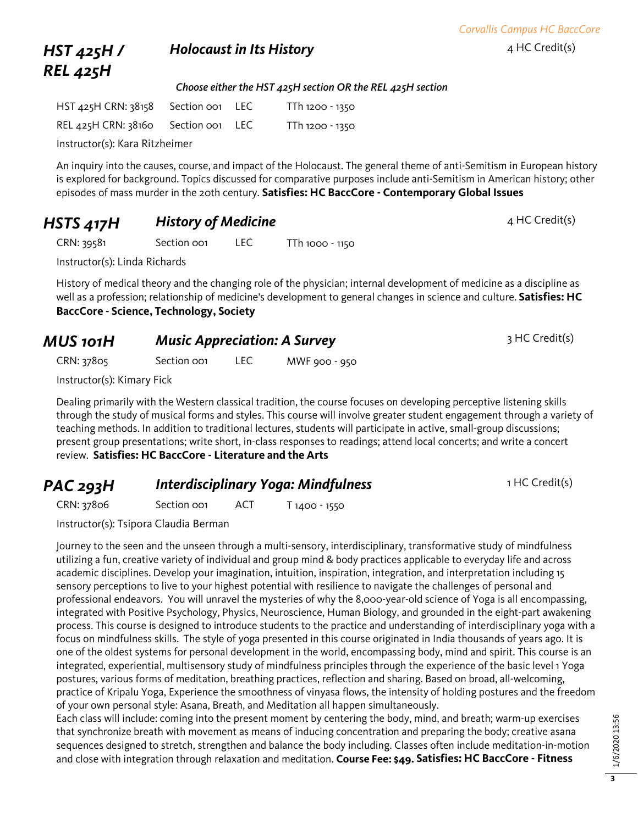*Corvallis Campus HC BaccCore*

### *HST 425H / REL 425H* **Holocaust in Its History Additional Additional Additional Additional Additional Additional Additional Additional Additional Additional Additional Additional Additional Additional Additional Additional Additional Additio**

*Choose either the HST 425H section OR the REL 425H section*

| HST 425H CRN: 38158 | Section oo1 LEC | TTh 1200 - 1350 |
|---------------------|-----------------|-----------------|
| REL 425H CRN: 38160 | Section oo1 LEC | TTh 1200 - 1350 |
|                     |                 |                 |

Instructor(s): Kara Ritzheimer

An inquiry into the causes, course, and impact of the Holocaust. The general theme of anti-Semitism in European history is explored for background. Topics discussed for comparative purposes include anti-Semitism in American history; other episodes of mass murder in the 20th century. **Satisfies: HC BaccCore - Contemporary Global Issues**

## **HSTS 417H History of Medicine HESTS 417H History of Medicine**

CRN: 39581 Section 001 LEC TTh 1000 - 1150

Instructor(s): Linda Richards

History of medical theory and the changing role of the physician; internal development of medicine as a discipline as well as a profession; relationship of medicine's development to general changes in science and culture. **Satisfies: HC BaccCore - Science, Technology, Society**

| MUS 101H   | <b>Music Appreciation: A Survey</b> |  | 3 HC Credit(s) |  |
|------------|-------------------------------------|--|----------------|--|
| CRN: 37805 | Section oo <sub>1</sub>             |  | MWF 900 - 950  |  |

Instructor(s): Kimary Fick

Dealing primarily with the Western classical tradition, the course focuses on developing perceptive listening skills through the study of musical forms and styles. This course will involve greater student engagement through a variety of teaching methods. In addition to traditional lectures, students will participate in active, small-group discussions; present group presentations; write short, in-class responses to readings; attend local concerts; and write a concert review. **Satisfies: HC BaccCore - Literature and the Arts**

## *PAC 293H Interdisciplinary Yoga: Mindfulness* 1 HC Credit(s)

CRN: 37806 Section 001 ACT T 1400 - 1550

Instructor(s): Tsipora Claudia Berman

Journey to the seen and the unseen through a multi-sensory, interdisciplinary, transformative study of mindfulness utilizing a fun, creative variety of individual and group mind & body practices applicable to everyday life and across academic disciplines. Develop your imagination, intuition, inspiration, integration, and interpretation including 15 sensory perceptions to live to your highest potential with resilience to navigate the challenges of personal and professional endeavors. You will unravel the mysteries of why the 8,000-year-old science of Yoga is all encompassing, integrated with Positive Psychology, Physics, Neuroscience, Human Biology, and grounded in the eight-part awakening process. This course is designed to introduce students to the practice and understanding of interdisciplinary yoga with a focus on mindfulness skills. The style of yoga presented in this course originated in India thousands of years ago. It is one of the oldest systems for personal development in the world, encompassing body, mind and spirit. This course is an integrated, experiential, multisensory study of mindfulness principles through the experience of the basic level 1 Yoga postures, various forms of meditation, breathing practices, reflection and sharing. Based on broad, all-welcoming, practice of Kripalu Yoga, Experience the smoothness of vinyasa flows, the intensity of holding postures and the freedom of your own personal style: Asana, Breath, and Meditation all happen simultaneously.

Each class will include: coming into the present moment by centering the body, mind, and breath; warm-up exercises that synchronize breath with movement as means of inducing concentration and preparing the body; creative asana sequences designed to stretch, strengthen and balance the body including. Classes often include meditation-in-motion and close with integration through relaxation and meditation. **Course Fee: \$49. Satisfies: HC BaccCore - Fitness**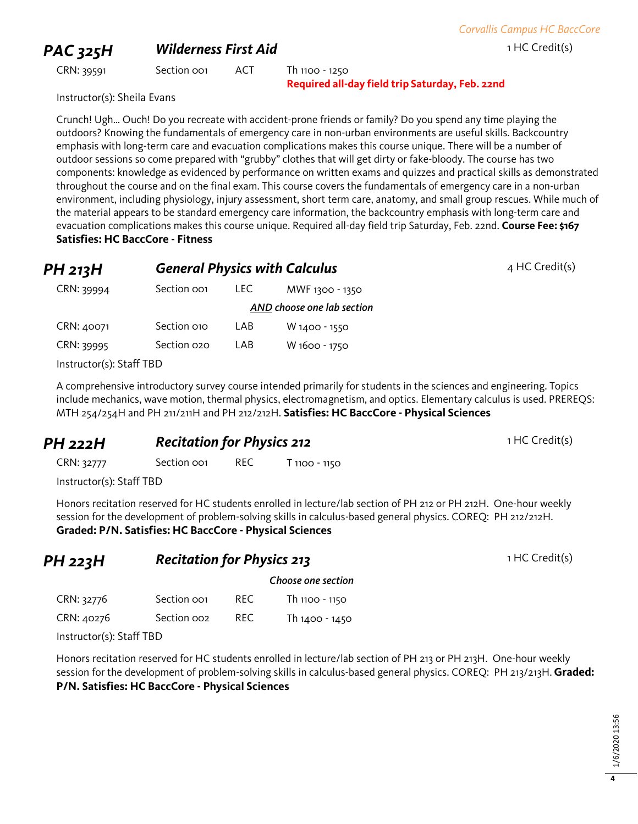### **PAC 325H Wilderness First Aid** 1 HC Credit(s)

CRN: 39591 Section 001 ACT Th 1100 - 1250 **Required all-day field trip Saturday, Feb. 22nd**

Instructor(s): Sheila Evans

Crunch! Ugh… Ouch! Do you recreate with accident-prone friends or family? Do you spend any time playing the outdoors? Knowing the fundamentals of emergency care in non-urban environments are useful skills. Backcountry emphasis with long-term care and evacuation complications makes this course unique. There will be a number of outdoor sessions so come prepared with "grubby" clothes that will get dirty or fake-bloody. The course has two components: knowledge as evidenced by performance on written exams and quizzes and practical skills as demonstrated throughout the course and on the final exam. This course covers the fundamentals of emergency care in a non-urban environment, including physiology, injury assessment, short term care, anatomy, and small group rescues. While much of the material appears to be standard emergency care information, the backcountry emphasis with long-term care and evacuation complications makes this course unique. Required all-day field trip Saturday, Feb. 22nd. **Course Fee: \$167 Satisfies: HC BaccCore - Fitness**

| PH 213H                  |             |      | <b>General Physics with Calculus</b> | $4$ HC Credit(s) |
|--------------------------|-------------|------|--------------------------------------|------------------|
| CRN: 39994               | Section oo1 | LEC. | MWF 1300 - 1350                      |                  |
|                          |             |      | AND choose one lab section           |                  |
| CRN: 40071               | Section 010 | LAB  | W 1400 - 1550                        |                  |
| CRN: 39995               | Section 020 | LAB  | W 1600 - 1750                        |                  |
| Instructor(s): Staff TBD |             |      |                                      |                  |

A comprehensive introductory survey course intended primarily for students in the sciences and engineering. Topics include mechanics, wave motion, thermal physics, electromagnetism, and optics. Elementary calculus is used. PREREQS: MTH 254/254H and PH 211/211H and PH 212/212H. **Satisfies: HC BaccCore - Physical Sciences**

### **PH 222H Recitation for Physics 212** 1 HC Credit(s)

CRN: 32777 Section 001 REC T 1100 - 1150

Instructor(s): Staff TBD

Honors recitation reserved for HC students enrolled in lecture/lab section of PH 212 or PH 212H. One-hour weekly session for the development of problem-solving skills in calculus-based general physics. COREQ: PH 212/212H. **Graded: P/N. Satisfies: HC BaccCore - Physical Sciences**

| PH 223H    | <b>Recitation for Physics 213</b> |      |                    |
|------------|-----------------------------------|------|--------------------|
|            |                                   |      | Choose one section |
| CRN: 32776 | Section oo1                       | REC. | Th 1100 - 1150     |
| CRN: 40276 | Section oo <sub>2</sub>           | REC. | Th 1400 - 1450     |

Instructor(s): Staff TBD

Honors recitation reserved for HC students enrolled in lecture/lab section of PH 213 or PH 213H. One-hour weekly session for the development of problem-solving skills in calculus-based general physics. COREQ: PH 213/213H. **Graded: P/N. Satisfies: HC BaccCore - Physical Sciences**

**4**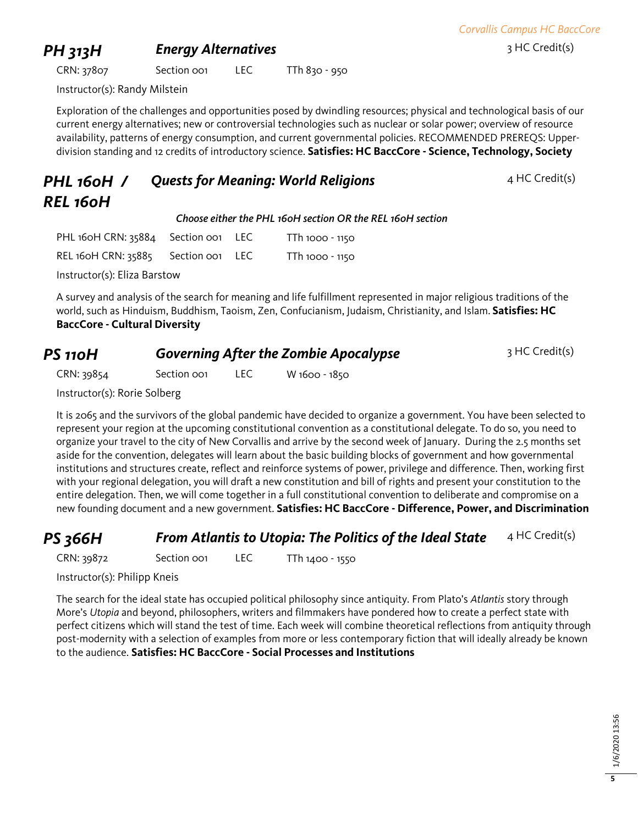*Corvallis Campus HC BaccCore*

### **PH 313H Energy Alternatives** 3 HC Credit(s)

CRN: 37807 Section 001 LEC TTh 830 - 950

Instructor(s): Randy Milstein

Exploration of the challenges and opportunities posed by dwindling resources; physical and technological basis of our current energy alternatives; new or controversial technologies such as nuclear or solar power; overview of resource availability, patterns of energy consumption, and current governmental policies. RECOMMENDED PREREQS: Upperdivision standing and 12 credits of introductory science. **Satisfies: HC BaccCore - Science, Technology, Society**

| PHL 160H / | <b>Quests for Meaning: World Religions</b> |
|------------|--------------------------------------------|
| REL 160H   |                                            |

*Choose either the PHL 160H section OR the REL 160H section*

| PHL 160H CRN: 35884 Section 001 LEC |  | TTh 1000 - 1150 |
|-------------------------------------|--|-----------------|
| REL 160H CRN: 35885 Section 001 LEC |  | TTh 1000 - 1150 |

Instructor(s): Eliza Barstow

A survey and analysis of the search for meaning and life fulfillment represented in major religious traditions of the world, such as Hinduism, Buddhism, Taoism, Zen, Confucianism, Judaism, Christianity, and Islam. **Satisfies: HC BaccCore - Cultural Diversity**

| PS 110H | <b>Governing After the Zombie Apocalypse</b> | 3 HC Credit(s) |
|---------|----------------------------------------------|----------------|
|---------|----------------------------------------------|----------------|

*Quests for Meaning: World Religions* 4 HC Credit(s)

CRN: 39854 Section 001 LEC W 1600 - 1850

Instructor(s): Rorie Solberg

It is 2065 and the survivors of the global pandemic have decided to organize a government. You have been selected to represent your region at the upcoming constitutional convention as a constitutional delegate. To do so, you need to organize your travel to the city of New Corvallis and arrive by the second week of January. During the 2.5 months set aside for the convention, delegates will learn about the basic building blocks of government and how governmental institutions and structures create, reflect and reinforce systems of power, privilege and difference. Then, working first with your regional delegation, you will draft a new constitution and bill of rights and present your constitution to the entire delegation. Then, we will come together in a full constitutional convention to deliberate and compromise on a new founding document and a new government. **Satisfies: HC BaccCore - Difference, Power, and Discrimination**

### **PS 366H From Atlantis to Utopia: The Politics of the Ideal State** 4 HC Credit(s)

CRN: 39872 Section 001 LEC TTh 1400 - 1550

Instructor(s): Philipp Kneis

The search for the ideal state has occupied political philosophy since antiquity. From Plato's *Atlantis* story through More's *Utopia* and beyond, philosophers, writers and filmmakers have pondered how to create a perfect state with perfect citizens which will stand the test of time. Each week will combine theoretical reflections from antiquity through post-modernity with a selection of examples from more or less contemporary fiction that will ideally already be known to the audience. **Satisfies: HC BaccCore - Social Processes and Institutions**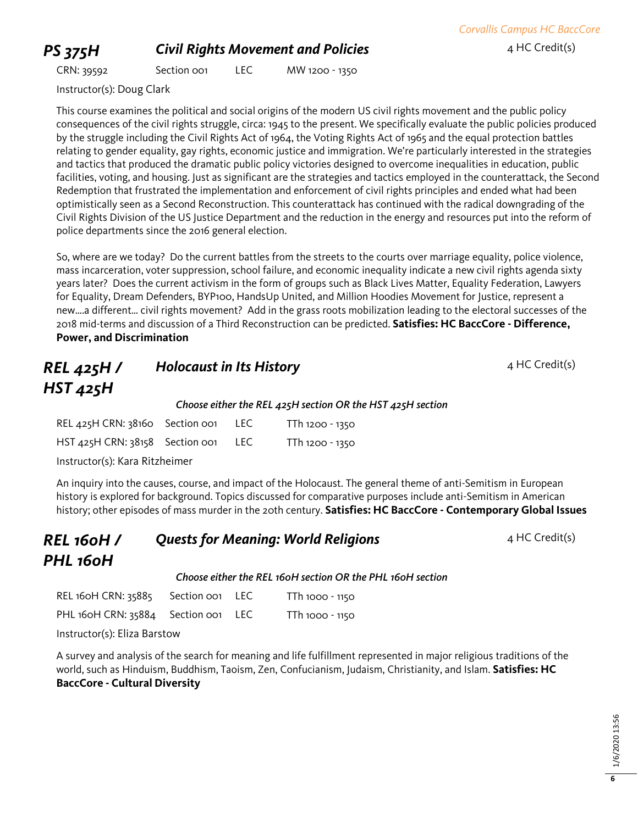## **PS 375H Civil Rights Movement and Policies** 4 HC Credit(s)

*Corvallis Campus HC BaccCore*

CRN: 39592 Section 001 LEC MW 1200 - 1350

Instructor(s): Doug Clark

This course examines the political and social origins of the modern US civil rights movement and the public policy consequences of the civil rights struggle, circa: 1945 to the present. We specifically evaluate the public policies produced by the struggle including the Civil Rights Act of 1964, the Voting Rights Act of 1965 and the equal protection battles relating to gender equality, gay rights, economic justice and immigration. We're particularly interested in the strategies and tactics that produced the dramatic public policy victories designed to overcome inequalities in education, public facilities, voting, and housing. Just as significant are the strategies and tactics employed in the counterattack, the Second Redemption that frustrated the implementation and enforcement of civil rights principles and ended what had been optimistically seen as a Second Reconstruction. This counterattack has continued with the radical downgrading of the Civil Rights Division of the US Justice Department and the reduction in the energy and resources put into the reform of police departments since the 2016 general election.

So, where are we today? Do the current battles from the streets to the courts over marriage equality, police violence, mass incarceration, voter suppression, school failure, and economic inequality indicate a new civil rights agenda sixty years later? Does the current activism in the form of groups such as Black Lives Matter, Equality Federation, Lawyers for Equality, Dream Defenders, BYP100, HandsUp United, and Million Hoodies Movement for Justice, represent a new….a different… civil rights movement? Add in the grass roots mobilization leading to the electoral successes of the 2018 mid-terms and discussion of a Third Reconstruction can be predicted. **Satisfies: HC BaccCore - Difference, Power, and Discrimination**

### *REL 425H / HST 425H* **Holocaust in Its History A HC Credit(s)** 4 HC Credit(s) *Choose either the REL 425H section OR the HST 425H section* REL 425H CRN: 38160 Section 001 LEC TTh 1200 - 1350 HST 425H CRN: 38158 Section 001 LEC TTh 1200 - 1350

Instructor(s): Kara Ritzheimer

An inquiry into the causes, course, and impact of the Holocaust. The general theme of anti-Semitism in European history is explored for background. Topics discussed for comparative purposes include anti-Semitism in American history; other episodes of mass murder in the 20th century. **Satisfies: HC BaccCore - Contemporary Global Issues**

### *REL 160H / PHL 160H* **Quests for Meaning: World Religions** 4 HC Credit(s)

*Choose either the REL 160H section OR the PHL 160H section*

| REL 160H CRN: 35885 Section 001 LEC |  | TTh 1000 - 1150 |
|-------------------------------------|--|-----------------|
| PHL 160H CRN: 35884 Section 001 LEC |  | TTh 1000 - 1150 |

Instructor(s): Eliza Barstow

A survey and analysis of the search for meaning and life fulfillment represented in major religious traditions of the world, such as Hinduism, Buddhism, Taoism, Zen, Confucianism, Judaism, Christianity, and Islam. **Satisfies: HC BaccCore - Cultural Diversity**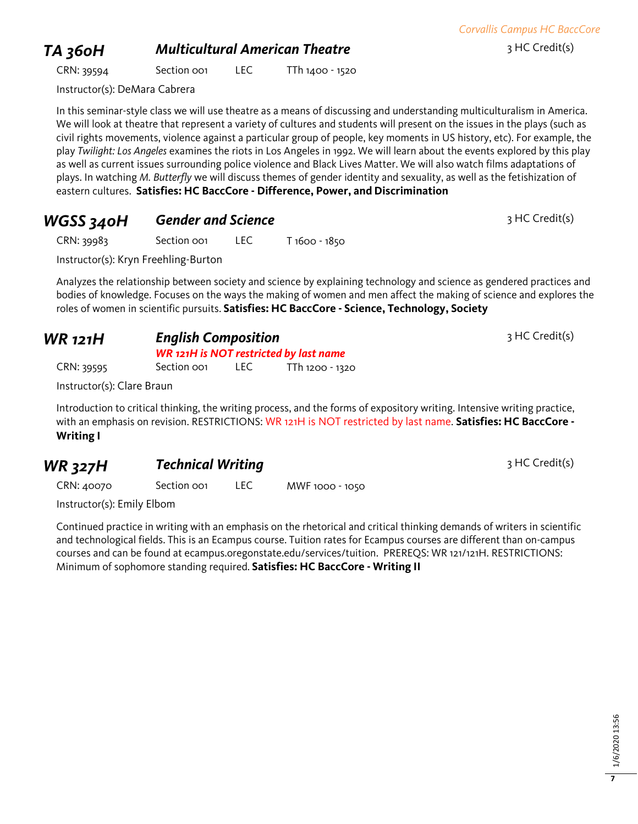*Corvallis Campus HC BaccCore*

# **TA 360H** *Multicultural American Theatre* 3 HC Credit(s)

CRN: 39594 Section 001 LEC TTh 1400 - 1520

Instructor(s): DeMara Cabrera

In this seminar-style class we will use theatre as a means of discussing and understanding multiculturalism in America. We will look at theatre that represent a variety of cultures and students will present on the issues in the plays (such as civil rights movements, violence against a particular group of people, key moments in US history, etc). For example, the play *Twilight: Los Angeles* examines the riots in Los Angeles in 1992. We will learn about the events explored by this play as well as current issues surrounding police violence and Black Lives Matter. We will also watch films adaptations of plays. In watching *M. Butterfly* we will discuss themes of gender identity and sexuality, as well as the fetishization of eastern cultures. **Satisfies: HC BaccCore - Difference, Power, and Discrimination**

## **WGSS 340H Gender and Science** 3 HC Credit(s)

CRN: 39983 Section 001 LEC T 1600 - 1850

Instructor(s): Kryn Freehling-Burton

Analyzes the relationship between society and science by explaining technology and science as gendered practices and bodies of knowledge. Focuses on the ways the making of women and men affect the making of science and explores the roles of women in scientific pursuits. **Satisfies: HC BaccCore - Science, Technology, Society**

| <b>WR</b> 121H |             | <b>English Composition</b><br><b>WR 121H is NOT restricted by last name</b> |                 |  |  |  |
|----------------|-------------|-----------------------------------------------------------------------------|-----------------|--|--|--|
| CRN: 39595     | Section oo1 | TEC.                                                                        | TTh 1200 - 1320 |  |  |  |

Instructor(s): Clare Braun

Introduction to critical thinking, the writing process, and the forms of expository writing. Intensive writing practice, with an emphasis on revision. RESTRICTIONS: WR 121H is NOT restricted by last name. **Satisfies: HC BaccCore - Writing I**

# **WR 327H Technical Writing 3 HC Credit(s)** 3 HC Credit(s)

CRN: 40070 Section 001 LEC MWF 1000 - 1050

Instructor(s): Emily Elbom

Continued practice in writing with an emphasis on the rhetorical and critical thinking demands of writers in scientific and technological fields. This is an Ecampus course. Tuition rates for Ecampus courses are different than on-campus courses and can be found at ecampus.oregonstate.edu/services/tuition. PREREQS: WR 121/121H. RESTRICTIONS: Minimum of sophomore standing required. **Satisfies: HC BaccCore - Writing II**

3 HC Credit(s)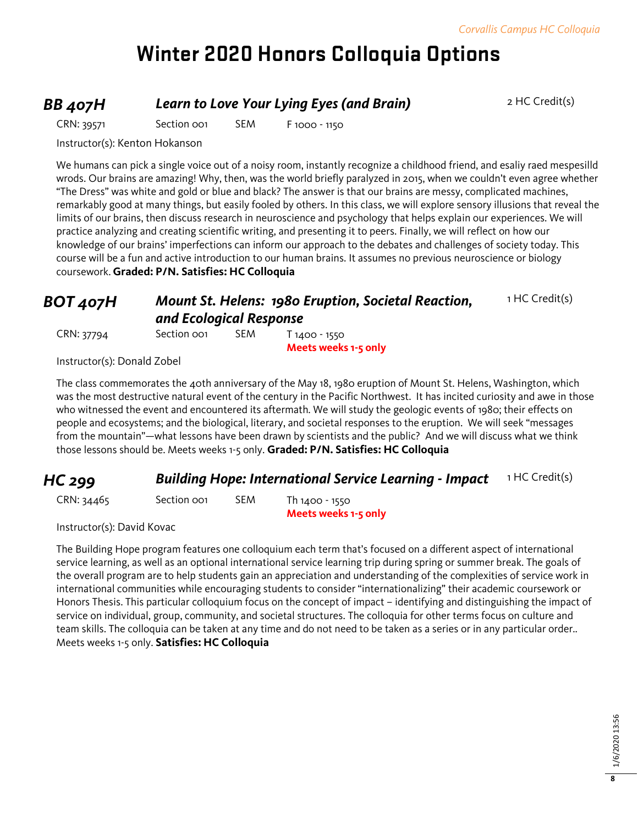# **Winter 2020 Honors Colloquia Options**

### **BB 407H Learn to Love Your Lying Eyes (and Brain)** 2 HC Credit(s)

CRN: 39571 Section 001 SEM F 1000 - 1150

Instructor(s): Kenton Hokanson

We humans can pick a single voice out of a noisy room, instantly recognize a childhood friend, and esaliy raed mespesilld wrods. Our brains are amazing! Why, then, was the world briefly paralyzed in 2015, when we couldn't even agree whether "The Dress" was white and gold or blue and black? The answer is that our brains are messy, complicated machines, remarkably good at many things, but easily fooled by others. In this class, we will explore sensory illusions that reveal the limits of our brains, then discuss research in neuroscience and psychology that helps explain our experiences. We will practice analyzing and creating scientific writing, and presenting it to peers. Finally, we will reflect on how our knowledge of our brains' imperfections can inform our approach to the debates and challenges of society today. This course will be a fun and active introduction to our human brains. It assumes no previous neuroscience or biology coursework. **Graded: P/N. Satisfies: HC Colloquia**

### *BOT 407H Mount St. Helens: 1980 Eruption, Societal Reaction, and Ecological Response*

1 HC Credit(s)

CRN: 37794 Section 001 SEM T 1400 - 1550 **Meets weeks 1-5 only**

Instructor(s): Donald Zobel

The class commemorates the 40th anniversary of the May 18, 1980 eruption of Mount St. Helens, Washington, which was the most destructive natural event of the century in the Pacific Northwest. It has incited curiosity and awe in those who witnessed the event and encountered its aftermath. We will study the geologic events of 1980; their effects on people and ecosystems; and the biological, literary, and societal responses to the eruption. We will seek "messages from the mountain"—what lessons have been drawn by scientists and the public? And we will discuss what we think those lessons should be. Meets weeks 1-5 only. **Graded: P/N. Satisfies: HC Colloquia**

### **HC 299 Building Hope: International Service Learning - Impact** 1 HC Credit(s)

CRN: 34465 Section 001 SEM Th 1400 - 1550

**Meets weeks 1-5 only**

Instructor(s): David Kovac

The Building Hope program features one colloquium each term that's focused on a different aspect of international service learning, as well as an optional international service learning trip during spring or summer break. The goals of the overall program are to help students gain an appreciation and understanding of the complexities of service work in international communities while encouraging students to consider "internationalizing" their academic coursework or Honors Thesis. This particular colloquium focus on the concept of impact – identifying and distinguishing the impact of service on individual, group, community, and societal structures. The colloquia for other terms focus on culture and team skills. The colloquia can be taken at any time and do not need to be taken as a series or in any particular order.. Meets weeks 1-5 only. **Satisfies: HC Colloquia**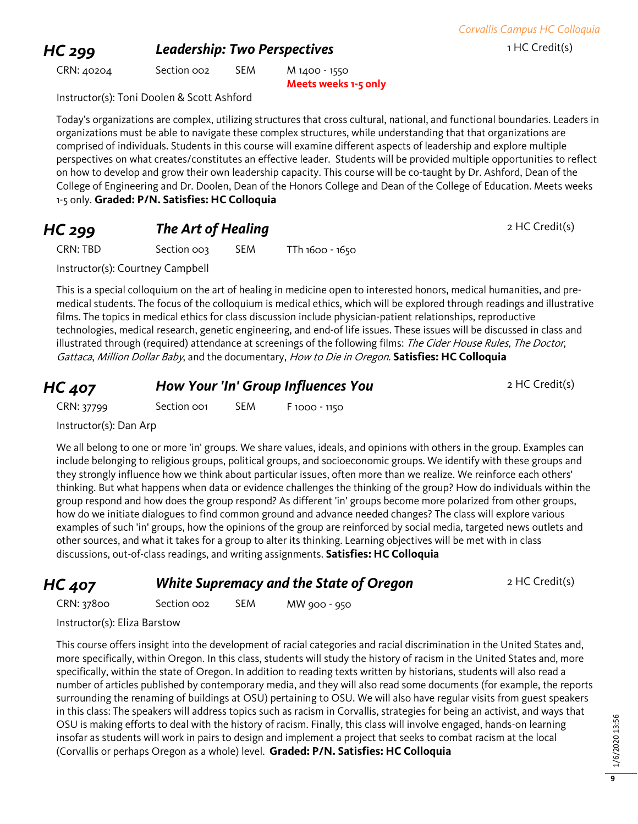### **HC 299 Leadership: Two Perspectives 1 HC Credit(s)** 1 HC Credit(s)

CRN: 40204 Section 002 SEM M 1400 - 1550

**Meets weeks 1-5 only**

Instructor(s): Toni Doolen & Scott Ashford

Today's organizations are complex, utilizing structures that cross cultural, national, and functional boundaries. Leaders in organizations must be able to navigate these complex structures, while understanding that that organizations are comprised of individuals. Students in this course will examine different aspects of leadership and explore multiple perspectives on what creates/constitutes an effective leader. Students will be provided multiple opportunities to reflect on how to develop and grow their own leadership capacity. This course will be co-taught by Dr. Ashford, Dean of the College of Engineering and Dr. Doolen, Dean of the Honors College and Dean of the College of Education. Meets weeks 1-5 only. **Graded: P/N. Satisfies: HC Colloquia**

### **HC 299 The Art of Healing** *PHC 299 PHC Credit(s)*

CRN: TBD Section 003 SEM TTh 1600 - 1650

Instructor(s): Courtney Campbell

This is a special colloquium on the art of healing in medicine open to interested honors, medical humanities, and premedical students. The focus of the colloquium is medical ethics, which will be explored through readings and illustrative films. The topics in medical ethics for class discussion include physician-patient relationships, reproductive technologies, medical research, genetic engineering, and end-of life issues. These issues will be discussed in class and illustrated through (required) attendance at screenings of the following films: The Cider House Rules, The Doctor, Gattaca, Million Dollar Baby, and the documentary, How to Die in Oregon. **Satisfies: HC Colloquia**

### **HC 407 How Your 'In' Group Influences You** 2 HC Credit(s)

CRN: 37799 Section 001 SEM F 1000 - 1150

Instructor(s): Dan Arp

We all belong to one or more 'in' groups. We share values, ideals, and opinions with others in the group. Examples can include belonging to religious groups, political groups, and socioeconomic groups. We identify with these groups and they strongly influence how we think about particular issues, often more than we realize. We reinforce each others' thinking. But what happens when data or evidence challenges the thinking of the group? How do individuals within the group respond and how does the group respond? As different 'in' groups become more polarized from other groups, how do we initiate dialogues to find common ground and advance needed changes? The class will explore various examples of such 'in' groups, how the opinions of the group are reinforced by social media, targeted news outlets and other sources, and what it takes for a group to alter its thinking. Learning objectives will be met with in class discussions, out-of-class readings, and writing assignments. **Satisfies: HC Colloquia**

### **HC 407** *White Supremacy and the State of Oregon* 2 HC Credit(s)

CRN: 37800 Section 002 SEM MW 900 - 950

Instructor(s): Eliza Barstow

This course offers insight into the development of racial categories and racial discrimination in the United States and, more specifically, within Oregon. In this class, students will study the history of racism in the United States and, more specifically, within the state of Oregon. In addition to reading texts written by historians, students will also read a number of articles published by contemporary media, and they will also read some documents (for example, the reports surrounding the renaming of buildings at OSU) pertaining to OSU. We will also have regular visits from guest speakers in this class: The speakers will address topics such as racism in Corvallis, strategies for being an activist, and ways that OSU is making efforts to deal with the history of racism. Finally, this class will involve engaged, hands-on learning insofar as students will work in pairs to design and implement a project that seeks to combat racism at the local (Corvallis or perhaps Oregon as a whole) level. **Graded: P/N. Satisfies: HC Colloquia**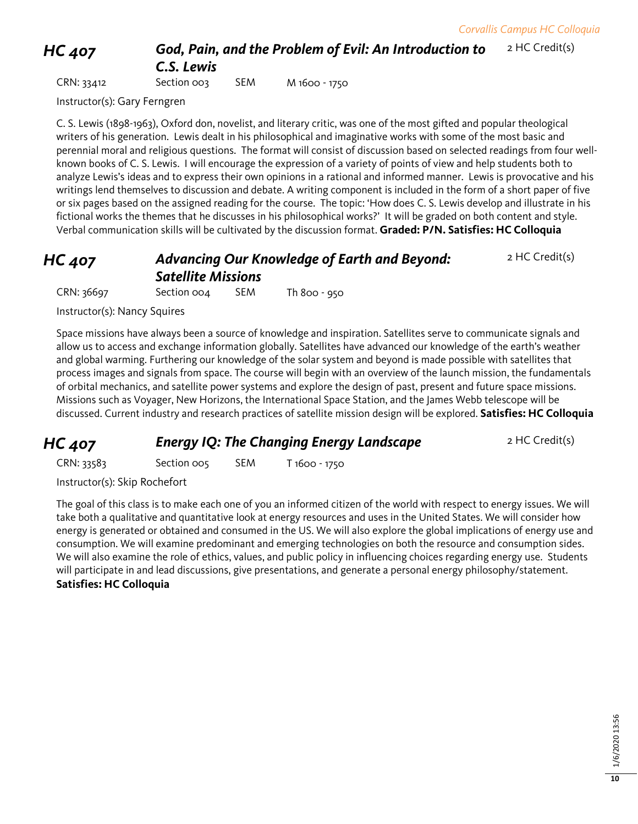2 HC Credit(s)

*HC 407 God, Pain, and the Problem of Evil: An Introduction to* 

# *C.S. Lewis*

CRN: 33412 Section 003 SEM M 1600 - 1750

Instructor(s): Gary Ferngren

C. S. Lewis (1898-1963), Oxford don, novelist, and literary critic, was one of the most gifted and popular theological writers of his generation. Lewis dealt in his philosophical and imaginative works with some of the most basic and perennial moral and religious questions. The format will consist of discussion based on selected readings from four wellknown books of C. S. Lewis. I will encourage the expression of a variety of points of view and help students both to analyze Lewis's ideas and to express their own opinions in a rational and informed manner. Lewis is provocative and his writings lend themselves to discussion and debate. A writing component is included in the form of a short paper of five or six pages based on the assigned reading for the course. The topic: 'How does C. S. Lewis develop and illustrate in his fictional works the themes that he discusses in his philosophical works?' It will be graded on both content and style. Verbal communication skills will be cultivated by the discussion format. **Graded: P/N. Satisfies: HC Colloquia**

### *HC 407 Advancing Our Knowledge of Earth and Beyond: Satellite Missions* 2 HC Credit(s)

CRN: 36697 Section 004 SEM Th 800 - 950

Instructor(s): Nancy Squires

Space missions have always been a source of knowledge and inspiration. Satellites serve to communicate signals and allow us to access and exchange information globally. Satellites have advanced our knowledge of the earth's weather and global warming. Furthering our knowledge of the solar system and beyond is made possible with satellites that process images and signals from space. The course will begin with an overview of the launch mission, the fundamentals of orbital mechanics, and satellite power systems and explore the design of past, present and future space missions. Missions such as Voyager, New Horizons, the International Space Station, and the James Webb telescope will be discussed. Current industry and research practices of satellite mission design will be explored. **Satisfies: HC Colloquia**

*HC 407* **Energy** *IQ***: The Changing Energy Landscape** 2 HC Credit(s)

CRN: 33583 Section 005 SEM T 1600 - 1750

Instructor(s): Skip Rochefort

The goal of this class is to make each one of you an informed citizen of the world with respect to energy issues. We will take both a qualitative and quantitative look at energy resources and uses in the United States. We will consider how energy is generated or obtained and consumed in the US. We will also explore the global implications of energy use and consumption. We will examine predominant and emerging technologies on both the resource and consumption sides. We will also examine the role of ethics, values, and public policy in influencing choices regarding energy use. Students will participate in and lead discussions, give presentations, and generate a personal energy philosophy/statement. **Satisfies: HC Colloquia**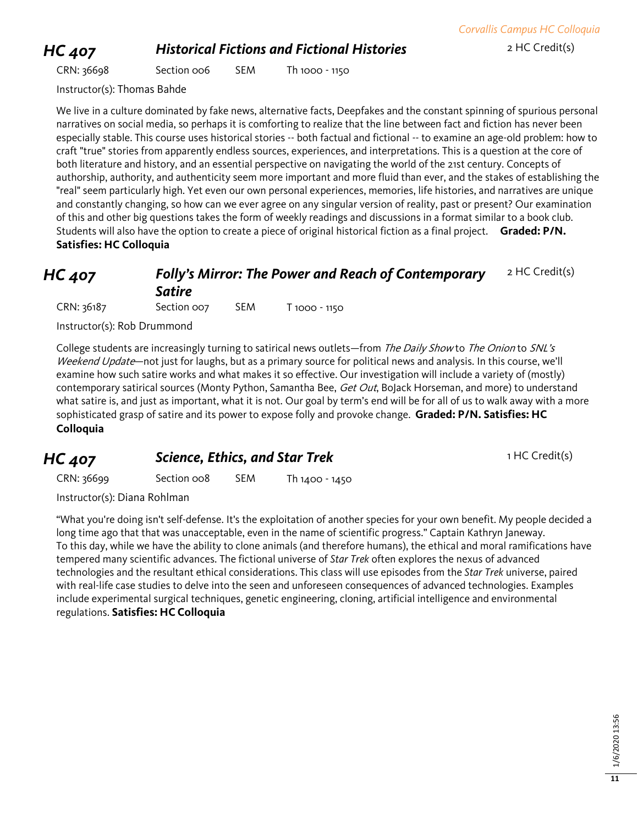### **HC 407 Historical Fictions and Fictional Histories** 2 HC Credit(s)

CRN: 36698 Section 006 SEM Th 1000 - 1150

Instructor(s): Thomas Bahde

We live in a culture dominated by fake news, alternative facts, Deepfakes and the constant spinning of spurious personal narratives on social media, so perhaps it is comforting to realize that the line between fact and fiction has never been especially stable. This course uses historical stories -- both factual and fictional -- to examine an age-old problem: how to craft "true" stories from apparently endless sources, experiences, and interpretations. This is a question at the core of both literature and history, and an essential perspective on navigating the world of the 21st century. Concepts of authorship, authority, and authenticity seem more important and more fluid than ever, and the stakes of establishing the "real" seem particularly high. Yet even our own personal experiences, memories, life histories, and narratives are unique and constantly changing, so how can we ever agree on any singular version of reality, past or present? Our examination of this and other big questions takes the form of weekly readings and discussions in a format similar to a book club. Students will also have the option to create a piece of original historical fiction as a final project. **Graded: P/N. Satisfies: HC Colloquia**

### *HC 407 Folly's Mirror: The Power and Reach of Contemporary Satire* 2 HC Credit(s)

CRN: 36187 Section 007 SEM T 1000 - 1150

Instructor(s): Rob Drummond

College students are increasingly turning to satirical news outlets—from The Daily Show to The Onion to SNL's Weekend Update—not just for laughs, but as a primary source for political news and analysis. In this course, we'll examine how such satire works and what makes it so effective. Our investigation will include a variety of (mostly) contemporary satirical sources (Monty Python, Samantha Bee, Get Out, BoJack Horseman, and more) to understand what satire is, and just as important, what it is not. Our goal by term's end will be for all of us to walk away with a more sophisticated grasp of satire and its power to expose folly and provoke change. **Graded: P/N. Satisfies: HC Colloquia**

### **HC 407 Science, Ethics, and Star Trek** 1 HC Credit(s)

CRN: 36699 Section 008 SEM Th 1400 - 1450

Instructor(s): Diana Rohlman

"What you're doing isn't self-defense. It's the exploitation of another species for your own benefit. My people decided a long time ago that that was unacceptable, even in the name of scientific progress." Captain Kathryn Janeway. To this day, while we have the ability to clone animals (and therefore humans), the ethical and moral ramifications have tempered many scientific advances. The fictional universe of *Star Trek* often explores the nexus of advanced technologies and the resultant ethical considerations. This class will use episodes from the *Star Trek* universe, paired with real-life case studies to delve into the seen and unforeseen consequences of advanced technologies. Examples include experimental surgical techniques, genetic engineering, cloning, artificial intelligence and environmental regulations. **Satisfies: HC Colloquia**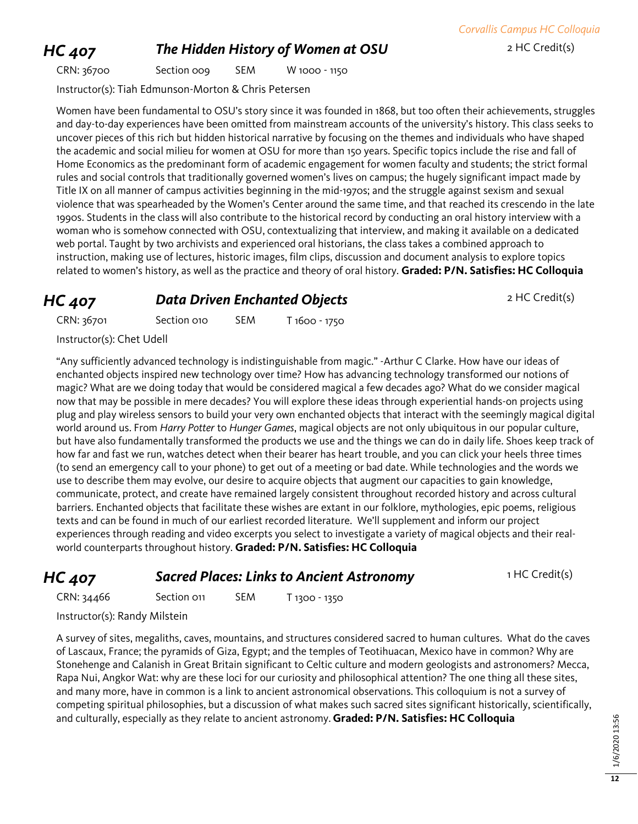### **HC 407 The Hidden History of Women at OSU** 2 HC Credit(s)

CRN: 36700 Section 009 SEM W 1000 - 1150

Instructor(s): Tiah Edmunson-Morton & Chris Petersen

Women have been fundamental to OSU's story since it was founded in 1868, but too often their achievements, struggles and day-to-day experiences have been omitted from mainstream accounts of the university's history. This class seeks to uncover pieces of this rich but hidden historical narrative by focusing on the themes and individuals who have shaped the academic and social milieu for women at OSU for more than 150 years. Specific topics include the rise and fall of Home Economics as the predominant form of academic engagement for women faculty and students; the strict formal rules and social controls that traditionally governed women's lives on campus; the hugely significant impact made by Title IX on all manner of campus activities beginning in the mid-1970s; and the struggle against sexism and sexual violence that was spearheaded by the Women's Center around the same time, and that reached its crescendo in the late 1990s. Students in the class will also contribute to the historical record by conducting an oral history interview with a woman who is somehow connected with OSU, contextualizing that interview, and making it available on a dedicated web portal. Taught by two archivists and experienced oral historians, the class takes a combined approach to instruction, making use of lectures, historic images, film clips, discussion and document analysis to explore topics related to women's history, as well as the practice and theory of oral history. **Graded: P/N. Satisfies: HC Colloquia**

### **HC 407 Data Driven Enchanted Objects** 2 HC Credit(s)

CRN: 36701 Section 010 SEM T 1600 - 1750

**Instr** 

"Any sufficiently advanced technology is indistinguishable from magic." -Arthur C Clarke. How have our ideas of enchanted objects inspired new technology over time? How has advancing technology transformed our notions of magic? What are we doing today that would be considered magical a few decades ago? What do we consider magical now that may be possible in mere decades? You will explore these ideas through experiential hands-on projects using plug and play wireless sensors to build your very own enchanted objects that interact with the seemingly magical digital world around us. From *Harry Potter* to *Hunger Games*, magical objects are not only ubiquitous in our popular culture, but have also fundamentally transformed the products we use and the things we can do in daily life. Shoes keep track of how far and fast we run, watches detect when their bearer has heart trouble, and you can click your heels three times (to send an emergency call to your phone) to get out of a meeting or bad date. While technologies and the words we use to describe them may evolve, our desire to acquire objects that augment our capacities to gain knowledge, communicate, protect, and create have remained largely consistent throughout recorded history and across cultural barriers. Enchanted objects that facilitate these wishes are extant in our folklore, mythologies, epic poems, religious texts and can be found in much of our earliest recorded literature. We'll supplement and inform our project experiences through reading and video excerpts you select to investigate a variety of magical objects and their realworld counterparts throughout history. **Graded: P/N. Satisfies: HC Colloquia**

### **HC 407 Sacred Places: Links to Ancient Astronomy** 1 HC Credit(s)

CRN: 34466 Section 011 SEM T 1300 - 1350

Instructor(s): Randy Milstein

A survey of sites, megaliths, caves, mountains, and structures considered sacred to human cultures. What do the caves of Lascaux, France; the pyramids of Giza, Egypt; and the temples of Teotihuacan, Mexico have in common? Why are Stonehenge and Calanish in Great Britain significant to Celtic culture and modern geologists and astronomers? Mecca, Rapa Nui, Angkor Wat: why are these loci for our curiosity and philosophical attention? The one thing all these sites, and many more, have in common is a link to ancient astronomical observations. This colloquium is not a survey of competing spiritual philosophies, but a discussion of what makes such sacred sites significant historically, scientifically, and culturally, especially as they relate to ancient astronomy. **Graded: P/N. Satisfies: HC Colloquia**

| .                                                                   | _____________ |  | $1000 - 17$ |  |
|---------------------------------------------------------------------|---------------|--|-------------|--|
| uctor(s): Chet Udell                                                |               |  |             |  |
| $\overline{C}$ . The state of the state of the state $\overline{C}$ |               |  |             |  |

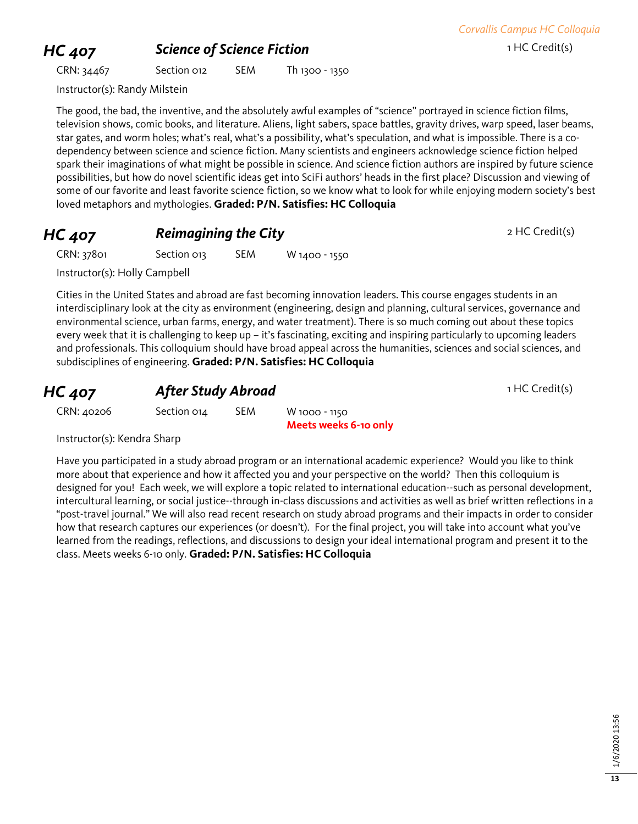### **HC 407 Science of Science Fiction 1 HC Credit(s)**

CRN: 34467 Section 012 SEM Th 1300 - 1350

*Corvallis Campus HC Colloquia*

Instructor(s): Randy Milstein

The good, the bad, the inventive, and the absolutely awful examples of "science" portrayed in science fiction films, television shows, comic books, and literature. Aliens, light sabers, space battles, gravity drives, warp speed, laser beams, star gates, and worm holes; what's real, what's a possibility, what's speculation, and what is impossible. There is a codependency between science and science fiction. Many scientists and engineers acknowledge science fiction helped spark their imaginations of what might be possible in science. And science fiction authors are inspired by future science possibilities, but how do novel scientific ideas get into SciFi authors' heads in the first place? Discussion and viewing of some of our favorite and least favorite science fiction, so we know what to look for while enjoying modern society's best loved metaphors and mythologies. **Graded: P/N. Satisfies: HC Colloquia**

### **HC 407 Reimagining the City Property 2 HC Credit(s)**

CRN: 37801 Section 013 SEM W 1400 - 1550

Instructor(s): Holly Campbell

Cities in the United States and abroad are fast becoming innovation leaders. This course engages students in an interdisciplinary look at the city as environment (engineering, design and planning, cultural services, governance and environmental science, urban farms, energy, and water treatment). There is so much coming out about these topics every week that it is challenging to keep up – it's fascinating, exciting and inspiring particularly to upcoming leaders and professionals. This colloquium should have broad appeal across the humanities, sciences and social sciences, and subdisciplines of engineering. **Graded: P/N. Satisfies: HC Colloquia**

### **HC 407 After Study Abroad 1 HC Credit(s)**

CRN: 40206 Section 014 SEM W 1000 - 1150 **Meets weeks 6-10 only**

Instructor(s): Kendra Sharp

Have you participated in a study abroad program or an international academic experience? Would you like to think more about that experience and how it affected you and your perspective on the world? Then this colloquium is designed for you! Each week, we will explore a topic related to international education--such as personal development, intercultural learning, or social justice--through in-class discussions and activities as well as brief written reflections in a "post-travel journal." We will also read recent research on study abroad programs and their impacts in order to consider how that research captures our experiences (or doesn't). For the final project, you will take into account what you've learned from the readings, reflections, and discussions to design your ideal international program and present it to the class. Meets weeks 6-10 only. **Graded: P/N. Satisfies: HC Colloquia**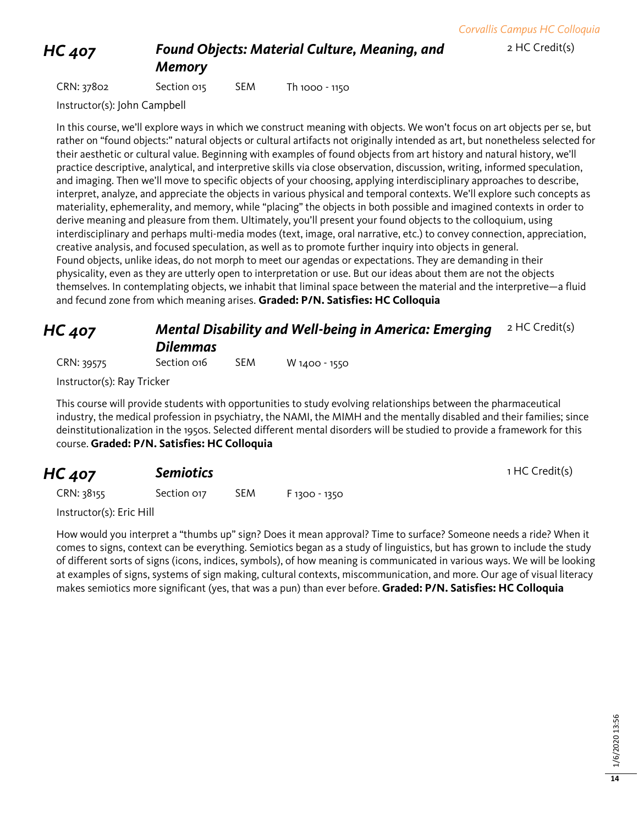2 HC Credit(s)

### *HC 407 Found Objects: Material Culture, Meaning, and*

*Memory*

CRN: 37802 Section 015 SEM Th 1000 - 1150

Instructor(s): John Campbell

In this course, we'll explore ways in which we construct meaning with objects. We won't focus on art objects per se, but rather on "found objects:" natural objects or cultural artifacts not originally intended as art, but nonetheless selected for their aesthetic or cultural value. Beginning with examples of found objects from art history and natural history, we'll practice descriptive, analytical, and interpretive skills via close observation, discussion, writing, informed speculation, and imaging. Then we'll move to specific objects of your choosing, applying interdisciplinary approaches to describe, interpret, analyze, and appreciate the objects in various physical and temporal contexts. We'll explore such concepts as materiality, ephemerality, and memory, while "placing" the objects in both possible and imagined contexts in order to derive meaning and pleasure from them. Ultimately, you'll present your found objects to the colloquium, using interdisciplinary and perhaps multi-media modes (text, image, oral narrative, etc.) to convey connection, appreciation, creative analysis, and focused speculation, as well as to promote further inquiry into objects in general. Found objects, unlike ideas, do not morph to meet our agendas or expectations. They are demanding in their physicality, even as they are utterly open to interpretation or use. But our ideas about them are not the objects themselves. In contemplating objects, we inhabit that liminal space between the material and the interpretive—a fluid and fecund zone from which meaning arises. **Graded: P/N. Satisfies: HC Colloquia**

| <b>HC 407</b> | <b>Mental Disability and Well-being in America: Emerging</b> $2$ HC Credit(s) |  |
|---------------|-------------------------------------------------------------------------------|--|
|               | <b>Dilemmas</b>                                                               |  |

CRN: 39575 Section 016 SEM W 1400 - 1550

Instructor(s): Ray Tricker

This course will provide students with opportunities to study evolving relationships between the pharmaceutical industry, the medical profession in psychiatry, the NAMI, the MIMH and the mentally disabled and their families; since deinstitutionalization in the 1950s. Selected different mental disorders will be studied to provide a framework for this course. **Graded: P/N. Satisfies: HC Colloquia**

| <b>HC 407</b> | <b>Semiotics</b> |      |               | 1 HC Credit(s) |
|---------------|------------------|------|---------------|----------------|
| CRN: 38155    | Section 017      | SEM. | F 1300 - 1350 |                |

Instructor(s): Eric Hill

How would you interpret a "thumbs up" sign? Does it mean approval? Time to surface? Someone needs a ride? When it comes to signs, context can be everything. Semiotics began as a study of linguistics, but has grown to include the study of different sorts of signs (icons, indices, symbols), of how meaning is communicated in various ways. We will be looking at examples of signs, systems of sign making, cultural contexts, miscommunication, and more. Our age of visual literacy makes semiotics more significant (yes, that was a pun) than ever before. **Graded: P/N. Satisfies: HC Colloquia**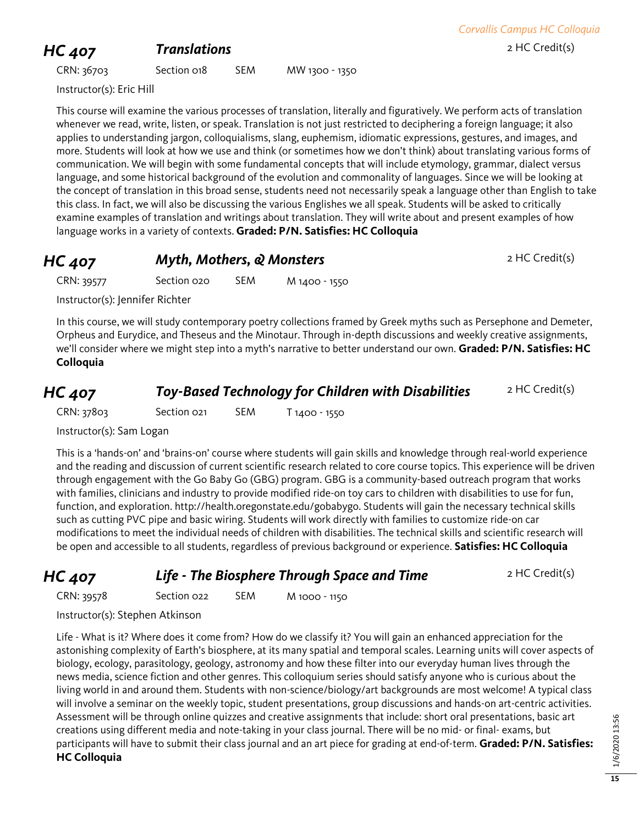# **HC 407 Translations 1.1 Translations 2 HC Credit(s)**

CRN: 36703 Section 018 SEM MW 1300 - 1350

Instructor(s): Eric Hill

This course will examine the various processes of translation, literally and figuratively. We perform acts of translation whenever we read, write, listen, or speak. Translation is not just restricted to deciphering a foreign language; it also applies to understanding jargon, colloquialisms, slang, euphemism, idiomatic expressions, gestures, and images, and more. Students will look at how we use and think (or sometimes how we don't think) about translating various forms of communication. We will begin with some fundamental concepts that will include etymology, grammar, dialect versus language, and some historical background of the evolution and commonality of languages. Since we will be looking at the concept of translation in this broad sense, students need not necessarily speak a language other than English to take this class. In fact, we will also be discussing the various Englishes we all speak. Students will be asked to critically examine examples of translation and writings about translation. They will write about and present examples of how language works in a variety of contexts. **Graded: P/N. Satisfies: HC Colloquia**

| <b>HC 407</b> | Myth, Mothers, & Monsters |     | 2 HC Credit(s) |  |
|---------------|---------------------------|-----|----------------|--|
| CRN: 39577    | Section 020               | SEM | M 1400 - 1550  |  |

Instructor(s): Jennifer Richter

In this course, we will study contemporary poetry collections framed by Greek myths such as Persephone and Demeter, Orpheus and Eurydice, and Theseus and the Minotaur. Through in-depth discussions and weekly creative assignments, we'll consider where we might step into a myth's narrative to better understand our own. **Graded: P/N. Satisfies: HC Colloquia**

| <b>HC 407</b> | <b>Toy-Based Technology for Children with Disabilities</b> | 2 HC Credit(s) |
|---------------|------------------------------------------------------------|----------------|
|---------------|------------------------------------------------------------|----------------|

CRN: 37803 Section 021 SEM T 1400 - 1550

Instructor(s): Sam Logan

This is a 'hands-on' and 'brains-on' course where students will gain skills and knowledge through real-world experience and the reading and discussion of current scientific research related to core course topics. This experience will be driven through engagement with the Go Baby Go (GBG) program. GBG is a community-based outreach program that works with families, clinicians and industry to provide modified ride-on toy cars to children with disabilities to use for fun, function, and exploration. http://health.oregonstate.edu/gobabygo. Students will gain the necessary technical skills such as cutting PVC pipe and basic wiring. Students will work directly with families to customize ride-on car modifications to meet the individual needs of children with disabilities. The technical skills and scientific research will be open and accessible to all students, regardless of previous background or experience. **Satisfies: HC Colloquia**

*HC 407* **Life - The Biosphere Through Space and Time** 2 HC Credit(s)

CRN: 39578 Section 022 SEM M 1000 - 1150

Instructor(s): Stephen Atkinson

Life - What is it? Where does it come from? How do we classify it? You will gain an enhanced appreciation for the astonishing complexity of Earth's biosphere, at its many spatial and temporal scales. Learning units will cover aspects of biology, ecology, parasitology, geology, astronomy and how these filter into our everyday human lives through the news media, science fiction and other genres. This colloquium series should satisfy anyone who is curious about the living world in and around them. Students with non-science/biology/art backgrounds are most welcome! A typical class will involve a seminar on the weekly topic, student presentations, group discussions and hands-on art-centric activities. Assessment will be through online quizzes and creative assignments that include: short oral presentations, basic art creations using different media and note-taking in your class journal. There will be no mid- or final- exams, but participants will have to submit their class journal and an art piece for grading at end-of-term. **Graded: P/N. Satisfies: HC Colloquia**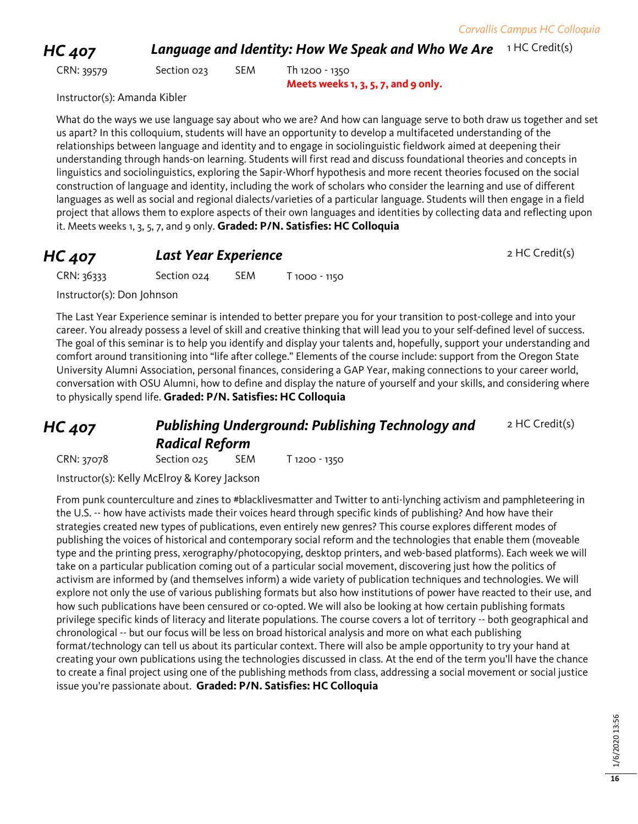**HC 407 Language and Identity: How We Speak and Who We Are** 1HC Credit(s)

CRN: 39579 Section 023 SEM Th 1200 - 1350 **Meets weeks 1, 3, 5, 7, and 9 only.** 

Instructor(s): Amanda Kibler

What do the ways we use language say about who we are? And how can language serve to both draw us together and set us apart? In this colloquium, students will have an opportunity to develop a multifaceted understanding of the relationships between language and identity and to engage in sociolinguistic fieldwork aimed at deepening their understanding through hands-on learning. Students will first read and discuss foundational theories and concepts in linguistics and sociolinguistics, exploring the Sapir-Whorf hypothesis and more recent theories focused on the social construction of language and identity, including the work of scholars who consider the learning and use of different languages as well as social and regional dialects/varieties of a particular language. Students will then engage in a field project that allows them to explore aspects of their own languages and identities by collecting data and reflecting upon it. Meets weeks 1, 3, 5, 7, and 9 only. **Graded: P/N. Satisfies: HC Colloquia**

### **HC 407** *Last Year Experience* 2 HC Credit(s)

CRN: 36333 Section 024 SEM T 1000 - 1150

Instructor(s): Don Johnson

The Last Year Experience seminar is intended to better prepare you for your transition to post-college and into your career. You already possess a level of skill and creative thinking that will lead you to your self-defined level of success. The goal of this seminar is to help you identify and display your talents and, hopefully, support your understanding and comfort around transitioning into "life after college." Elements of the course include: support from the Oregon State University Alumni Association, personal finances, considering a GAP Year, making connections to your career world, conversation with OSU Alumni, how to define and display the nature of yourself and your skills, and considering where to physically spend life. **Graded: P/N. Satisfies: HC Colloquia**

### *HC 407 Publishing Underground: Publishing Technology and Radical Reform* 2 HC Credit(s)

CRN: 37078 Section 025 SEM T 1200 - 1350

Instructor(s): Kelly McElroy & Korey Jackson

From punk counterculture and zines to #blacklivesmatter and Twitter to anti-lynching activism and pamphleteering in the U.S. -- how have activists made their voices heard through specific kinds of publishing? And how have their strategies created new types of publications, even entirely new genres? This course explores different modes of publishing the voices of historical and contemporary social reform and the technologies that enable them (moveable type and the printing press, xerography/photocopying, desktop printers, and web-based platforms). Each week we will take on a particular publication coming out of a particular social movement, discovering just how the politics of activism are informed by (and themselves inform) a wide variety of publication techniques and technologies. We will explore not only the use of various publishing formats but also how institutions of power have reacted to their use, and how such publications have been censured or co-opted. We will also be looking at how certain publishing formats privilege specific kinds of literacy and literate populations. The course covers a lot of territory -- both geographical and chronological -- but our focus will be less on broad historical analysis and more on what each publishing format/technology can tell us about its particular context. There will also be ample opportunity to try your hand at creating your own publications using the technologies discussed in class. At the end of the term you'll have the chance to create a final project using one of the publishing methods from class, addressing a social movement or social justice issue you're passionate about. **Graded: P/N. Satisfies: HC Colloquia**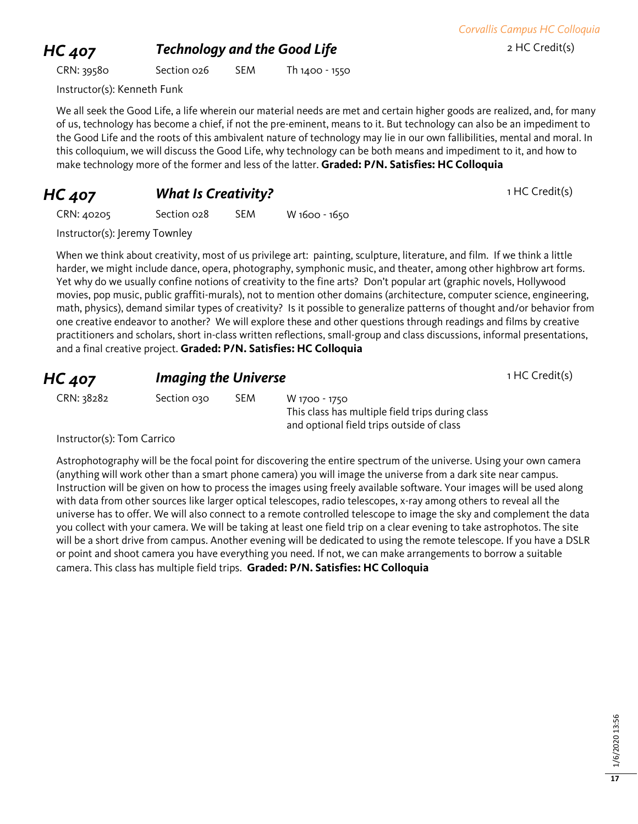### **HC 407** *Technology and the Good Life* 2 HC Credit(s)

CRN: 39580 Section 026 SEM Th 1400 - 1550

Instructor(s): Kenneth Funk

We all seek the Good Life, a life wherein our material needs are met and certain higher goods are realized, and, for many of us, technology has become a chief, if not the pre-eminent, means to it. But technology can also be an impediment to the Good Life and the roots of this ambivalent nature of technology may lie in our own fallibilities, mental and moral. In this colloquium, we will discuss the Good Life, why technology can be both means and impediment to it, and how to make technology more of the former and less of the latter. **Graded: P/N. Satisfies: HC Colloquia**

**HC 407 What Is Creativity?** 1 HC Credit(s)

CRN: 40205 Section 028 SEM W 1600 - 1650

Instructor(s): Jeremy Townley

When we think about creativity, most of us privilege art: painting, sculpture, literature, and film. If we think a little harder, we might include dance, opera, photography, symphonic music, and theater, among other highbrow art forms. Yet why do we usually confine notions of creativity to the fine arts? Don't popular art (graphic novels, Hollywood movies, pop music, public graffiti-murals), not to mention other domains (architecture, computer science, engineering, math, physics), demand similar types of creativity? Is it possible to generalize patterns of thought and/or behavior from one creative endeavor to another? We will explore these and other questions through readings and films by creative practitioners and scholars, short in-class written reflections, small-group and class discussions, informal presentations, and a final creative project. **Graded: P/N. Satisfies: HC Colloquia**

| <b>HC 407</b> | <b>Imaging the Universe</b> |            |                                                  | 1 HC Credit(s) |
|---------------|-----------------------------|------------|--------------------------------------------------|----------------|
| CRN: 38282    | Section 030                 | <b>SEM</b> | W 1700 - 1750                                    |                |
|               |                             |            | This class has multiple field trips during class |                |

Instructor(s): Tom Carrico

Astrophotography will be the focal point for discovering the entire spectrum of the universe. Using your own camera (anything will work other than a smart phone camera) you will image the universe from a dark site near campus. Instruction will be given on how to process the images using freely available software. Your images will be used along with data from other sources like larger optical telescopes, radio telescopes, x-ray among others to reveal all the universe has to offer. We will also connect to a remote controlled telescope to image the sky and complement the data you collect with your camera. We will be taking at least one field trip on a clear evening to take astrophotos. The site will be a short drive from campus. Another evening will be dedicated to using the remote telescope. If you have a DSLR or point and shoot camera you have everything you need. If not, we can make arrangements to borrow a suitable camera. This class has multiple field trips. **Graded: P/N. Satisfies: HC Colloquia**

and optional field trips outside of class

*Corvallis Campus HC Colloquia*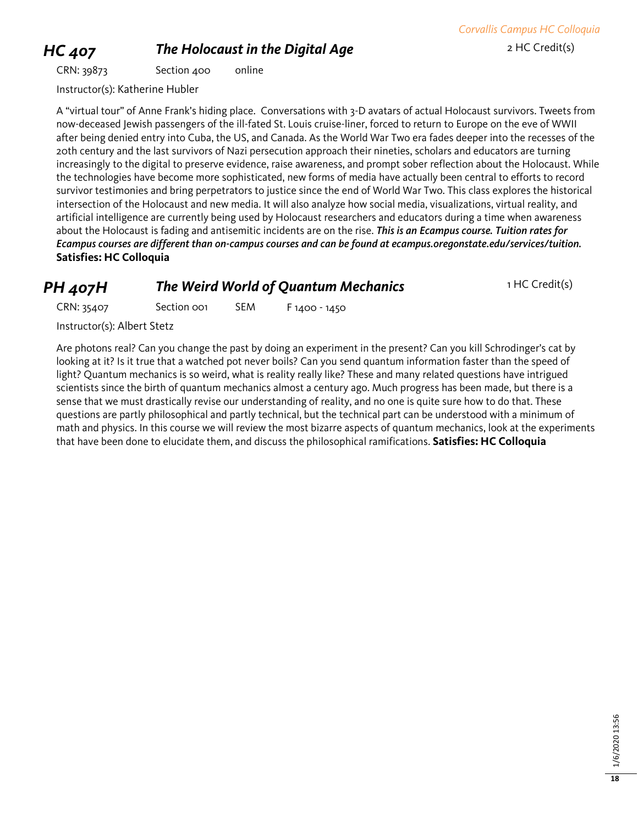### **HC 407 The Holocaust in the Digital Age** 2 HC Credit(s)

CRN: 39873 Section 400 online

*Corvallis Campus HC Colloquia*

Instructor(s): Katherine Hubler

A "virtual tour" of Anne Frank's hiding place. Conversations with 3-D avatars of actual Holocaust survivors. Tweets from now-deceased Jewish passengers of the ill-fated St. Louis cruise-liner, forced to return to Europe on the eve of WWII after being denied entry into Cuba, the US, and Canada. As the World War Two era fades deeper into the recesses of the 20th century and the last survivors of Nazi persecution approach their nineties, scholars and educators are turning increasingly to the digital to preserve evidence, raise awareness, and prompt sober reflection about the Holocaust. While the technologies have become more sophisticated, new forms of media have actually been central to efforts to record survivor testimonies and bring perpetrators to justice since the end of World War Two. This class explores the historical intersection of the Holocaust and new media. It will also analyze how social media, visualizations, virtual reality, and artificial intelligence are currently being used by Holocaust researchers and educators during a time when awareness about the Holocaust is fading and antisemitic incidents are on the rise. *This is an Ecampus course. Tuition rates for Ecampus courses are different than on-campus courses and can be found at ecampus.oregonstate.edu/services/tuition.* **Satisfies: HC Colloquia**

### **PH 407H** *The Weird World of Quantum Mechanics* 1 HC Credit(s)

CRN: 35407 Section 001 SEM F 1400 - 1450

Instructor(s): Albert Stetz

Are photons real? Can you change the past by doing an experiment in the present? Can you kill Schrodinger's cat by looking at it? Is it true that a watched pot never boils? Can you send quantum information faster than the speed of light? Quantum mechanics is so weird, what is reality really like? These and many related questions have intrigued scientists since the birth of quantum mechanics almost a century ago. Much progress has been made, but there is a sense that we must drastically revise our understanding of reality, and no one is quite sure how to do that. These questions are partly philosophical and partly technical, but the technical part can be understood with a minimum of math and physics. In this course we will review the most bizarre aspects of quantum mechanics, look at the experiments that have been done to elucidate them, and discuss the philosophical ramifications. **Satisfies: HC Colloquia**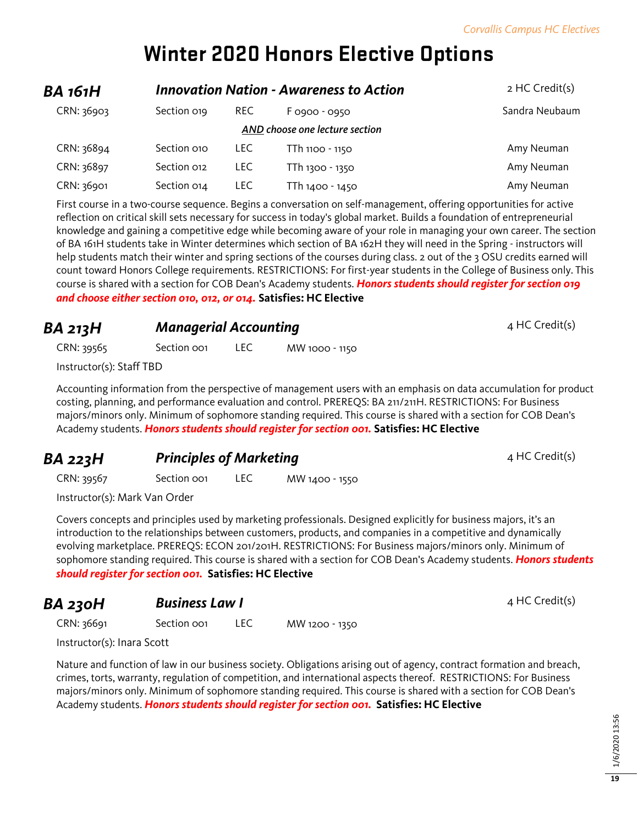# **Winter 2020 Honors Elective Options**

| BA 161H                        |             |            | <b>Innovation Nation - Awareness to Action</b> | 2 HC Credit(s) |
|--------------------------------|-------------|------------|------------------------------------------------|----------------|
| CRN: 36903                     | Section 019 | <b>REC</b> | F 0900 - 0950                                  | Sandra Neubaum |
| AND choose one lecture section |             |            |                                                |                |
| CRN: 36894                     | Section 010 | LEC.       | TTh 1100 - 1150                                | Amy Neuman     |
| CRN: 36897                     | Section 012 | LEC.       | TTh 1300 - 1350                                | Amy Neuman     |
| CRN: 36901                     | Section 014 | LEC.       | TTh 1400 - 1450                                | Amy Neuman     |

First course in a two-course sequence. Begins a conversation on self-management, offering opportunities for active reflection on critical skill sets necessary for success in today's global market. Builds a foundation of entrepreneurial knowledge and gaining a competitive edge while becoming aware of your role in managing your own career. The section of BA 161H students take in Winter determines which section of BA 162H they will need in the Spring - instructors will help students match their winter and spring sections of the courses during class. 2 out of the 3 OSU credits earned will count toward Honors College requirements. RESTRICTIONS: For first-year students in the College of Business only. This course is shared with a section for COB Dean's Academy students. *Honors students should register for section 019 and choose either section 010, 012, or 014.* **Satisfies: HC Elective**

**BA 213H** *Managerial Accounting*  $4$  HC Credit(s)

CRN: 39565 Section 001 LEC MW 1000 - 1150

Instructor(s): Staff TBD

Accounting information from the perspective of management users with an emphasis on data accumulation for product costing, planning, and performance evaluation and control. PREREQS: BA 211/211H. RESTRICTIONS: For Business majors/minors only. Minimum of sophomore standing required. This course is shared with a section for COB Dean's Academy students. *Honors students should register for section 001.* **Satisfies: HC Elective**

### **BA 223H Principles of Marketing Principles of Marketing** 4 HC Credit(s)

CRN: 39567 Section 001 LEC MW 1400 - 1550

Instructor(s): Mark Van Order

Covers concepts and principles used by marketing professionals. Designed explicitly for business majors, it's an introduction to the relationships between customers, products, and companies in a competitive and dynamically evolving marketplace. PREREQS: ECON 201/201H. RESTRICTIONS: For Business majors/minors only. Minimum of sophomore standing required. This course is shared with a section for COB Dean's Academy students. *Honors students should register for section 001.* **Satisfies: HC Elective**

## **BA 230H Business Law I Busing State of August 230H BUSINESS Law I** 4 HC Credit(s)

CRN: 36691 Section 001 LEC MW 1200 - 1350

Instructor(s): Inara Scott

Nature and function of law in our business society. Obligations arising out of agency, contract formation and breach, crimes, torts, warranty, regulation of competition, and international aspects thereof. RESTRICTIONS: For Business majors/minors only. Minimum of sophomore standing required. This course is shared with a section for COB Dean's Academy students. *Honors students should register for section 001.* **Satisfies: HC Elective**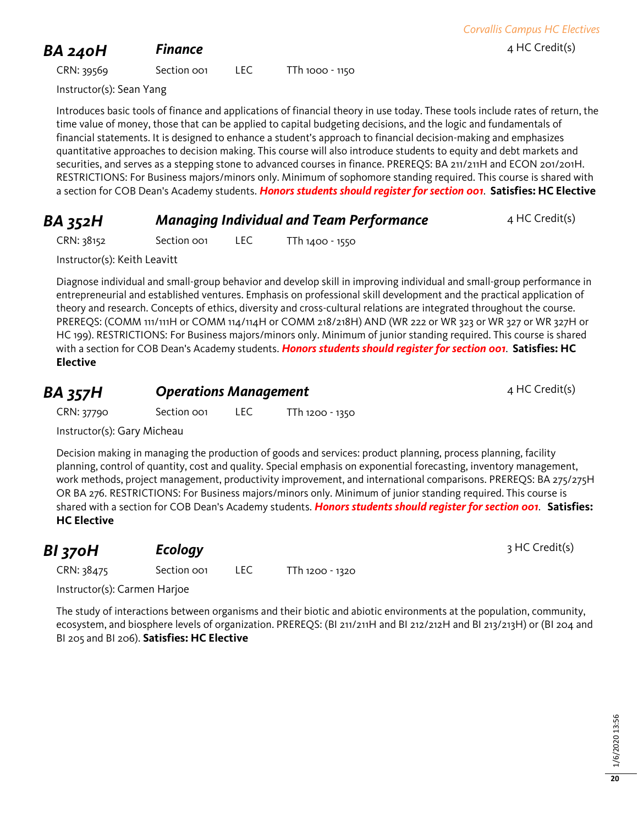## **BA 240H Finance Finance 1 Finance 1 Finance 1 Finance 1 Exercise 1 Exercise 1 Exercise 1 Exercise 1 Exercise 1 Exercise 1 Exercise 2 Exercise 2 Exercise 2 Exercise**

CRN: 39569 Section 001 LEC TTh 1000 - 1150

Instructor(s): Sean Yang

Introduces basic tools of finance and applications of financial theory in use today. These tools include rates of return, the time value of money, those that can be applied to capital budgeting decisions, and the logic and fundamentals of financial statements. It is designed to enhance a student's approach to financial decision-making and emphasizes quantitative approaches to decision making. This course will also introduce students to equity and debt markets and securities, and serves as a stepping stone to advanced courses in finance. PREREQS: BA 211/211H and ECON 201/201H. RESTRICTIONS: For Business majors/minors only. Minimum of sophomore standing required. This course is shared with a section for COB Dean's Academy students. *Honors students should register for section 001*. **Satisfies: HC Elective**

### **BA 352H** *Managing Individual and Team Performance* 4 HC Credit(s)

CRN: 38152 Section 001 LEC TTh 1400 - 1550

Instructor(s): Keith Leavitt

Diagnose individual and small-group behavior and develop skill in improving individual and small-group performance in entrepreneurial and established ventures. Emphasis on professional skill development and the practical application of theory and research. Concepts of ethics, diversity and cross-cultural relations are integrated throughout the course. PREREQS: (COMM 111/111H or COMM 114/114H or COMM 218/218H) AND (WR 222 or WR 323 or WR 327 or WR 327H or HC 199). RESTRICTIONS: For Business majors/minors only. Minimum of junior standing required. This course is shared with a section for COB Dean's Academy students. *Honors students should register for section 001*. **Satisfies: HC Elective**

# **BA 357H Operations Management DESCALL:** 4 HC Credit(s)

CRN: 37790 Section 001 LEC TTh 1200 - 1350

Instructor(s): Gary Micheau

Decision making in managing the production of goods and services: product planning, process planning, facility planning, control of quantity, cost and quality. Special emphasis on exponential forecasting, inventory management, work methods, project management, productivity improvement, and international comparisons. PREREQS: BA 275/275H OR BA 276. RESTRICTIONS: For Business majors/minors only. Minimum of junior standing required. This course is shared with a section for COB Dean's Academy students. *Honors students should register for section 001*. **Satisfies: HC Elective**

| Ecology<br>BI 370H |                         |  | 3 HC Credit(s)  |  |
|--------------------|-------------------------|--|-----------------|--|
| CRN: 38475         | Section oo <sub>1</sub> |  | TTh 1200 - 1320 |  |

Instructor(s): Carmen Harjoe

The study of interactions between organisms and their biotic and abiotic environments at the population, community, ecosystem, and biosphere levels of organization. PREREQS: (BI 211/211H and BI 212/212H and BI 213/213H) or (BI 204 and BI 205 and BI 206). **Satisfies: HC Elective**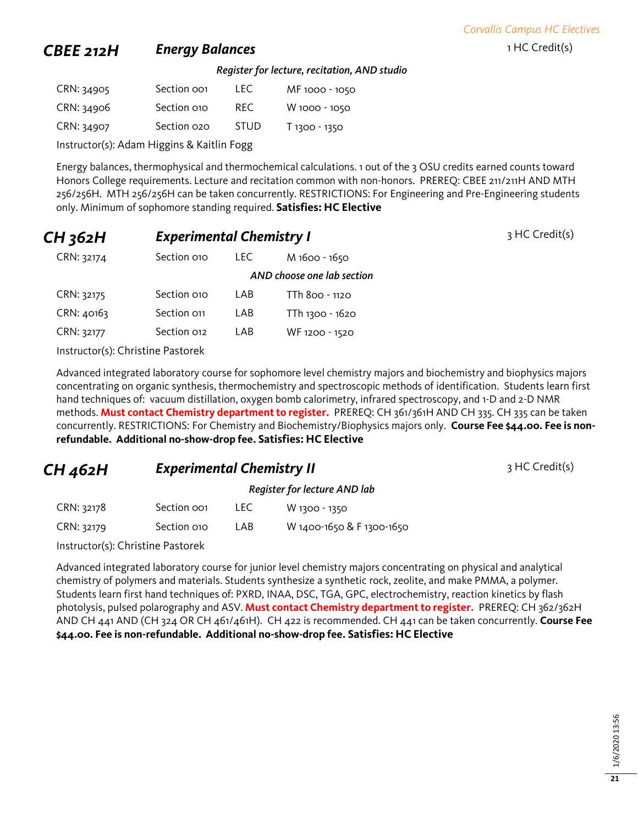*Corvallis Campus HC Electives*

### **CBEE 212H Energy Balances Energy Balances** 1 HC Credit(s)

*Register for lecture, recitation, AND studio*

| CRN: 34905 | Section oo1 | I FC.       | MF 1000 - 1050 |
|------------|-------------|-------------|----------------|
| CRN: 34906 | Section 010 | RFC.        | W 1000 - 1050  |
| CRN: 34907 | Section 020 | <b>STUD</b> | T 1300 - 1350  |

Instructor(s): Adam Higgins & Kaitlin Fogg

Energy balances, thermophysical and thermochemical calculations. 1 out of the 3 OSU credits earned counts toward Honors College requirements. Lecture and recitation common with non-honors. PREREQ: CBEE 211/211H AND MTH 256/256H. MTH 256/256H can be taken concurrently. RESTRICTIONS: For Engineering and Pre-Engineering students only. Minimum of sophomore standing required. **Satisfies: HC Elective**

| CH 362H    |                                   | <b>Experimental Chemistry I</b> |                            | 3 HC Credit(s) |
|------------|-----------------------------------|---------------------------------|----------------------------|----------------|
| CRN: 32174 | Section 010                       | <b>LEC</b>                      | M 1600 - 1650              |                |
|            |                                   |                                 | AND choose one lab section |                |
| CRN: 32175 | Section 010                       | LAB                             | TTh 800 - 1120             |                |
| CRN: 40163 | Section 011                       | LAB                             | TTh 1300 - 1620            |                |
| CRN: 32177 | Section 012                       | LAB                             | WF 1200 - 1520             |                |
|            | Instructor(s): Christine Pastorek |                                 |                            |                |

Advanced integrated laboratory course for sophomore level chemistry majors and biochemistry and biophysics majors concentrating on organic synthesis, thermochemistry and spectroscopic methods of identification. Students learn first hand techniques of: vacuum distillation, oxygen bomb calorimetry, infrared spectroscopy, and 1-D and 2-D NMR methods. **Must contact Chemistry department to register.** PREREQ: CH 361/361H AND CH 335. CH 335 can be taken concurrently. RESTRICTIONS: For Chemistry and Biochemistry/Biophysics majors only. **Course Fee \$44.00. Fee is non-**

**refundable. Additional no-show-drop fee. Satisfies: HC Elective**

**CH 462H Experimental Chemistry II** 3 HC Credit(s)

### *Register for lecture AND lab*

| CRN: 32178 | Section oo1 | LEC | W 1300 - 1350             |
|------------|-------------|-----|---------------------------|
| CRN: 32179 | Section 010 | LAB | W 1400-1650 & F 1300-1650 |

Instructor(s): Christine Pastorek

Advanced integrated laboratory course for junior level chemistry majors concentrating on physical and analytical chemistry of polymers and materials. Students synthesize a synthetic rock, zeolite, and make PMMA, a polymer. Students learn first hand techniques of: PXRD, INAA, DSC, TGA, GPC, electrochemistry, reaction kinetics by flash photolysis, pulsed polarography and ASV. **Must contact Chemistry department to register.** PREREQ: CH 362/362H AND CH 441 AND (CH 324 OR CH 461/461H). CH 422 is recommended. CH 441 can be taken concurrently. **Course Fee \$44.00. Fee is non-refundable. Additional no-show-drop fee. Satisfies: HC Elective**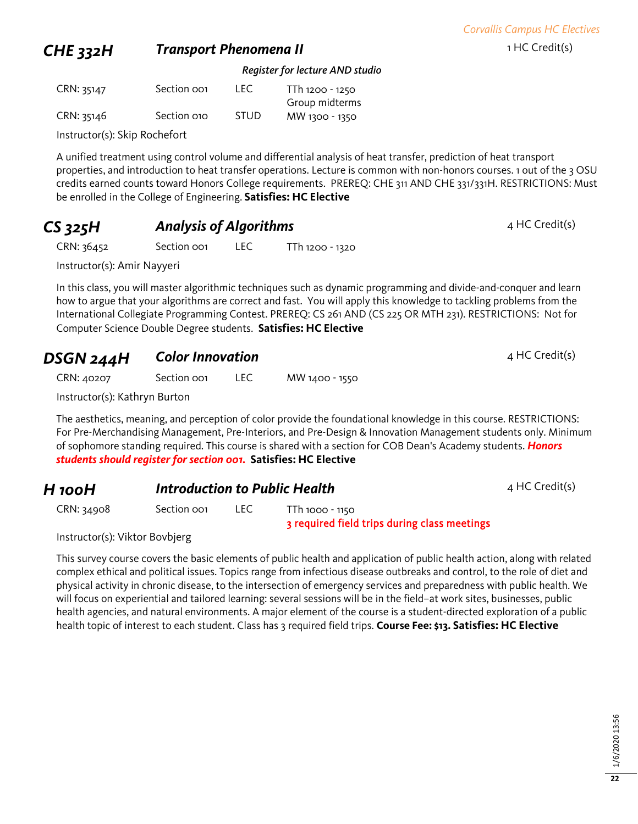### **CHE 332H Transport Phenomena II** 1HC Credit(s)

*Register for lecture AND studio*

| CRN: 35147 | Section oo1 | TEC.        | TTh 1200 - 1250 |
|------------|-------------|-------------|-----------------|
|            |             |             | Group midterms  |
| CRN: 35146 | Section 010 | <b>STUD</b> | MW 1300 - 1350  |

Instructor(s): Skip Rochefort

A unified treatment using control volume and differential analysis of heat transfer, prediction of heat transport properties, and introduction to heat transfer operations. Lecture is common with non-honors courses. 1 out of the 3 OSU credits earned counts toward Honors College requirements. PREREQ: CHE 311 AND CHE 331/331H. RESTRICTIONS: Must be enrolled in the College of Engineering. **Satisfies: HC Elective**

### **CS 325H Analysis of Algorithms Analysis of Algorithms Added 4 HC Credit(s)**

CRN: 36452 Section 001 LEC TTh 1200 - 1320

Instructor(s): Amir Nayyeri

In this class, you will master algorithmic techniques such as dynamic programming and divide-and-conquer and learn how to argue that your algorithms are correct and fast. You will apply this knowledge to tackling problems from the International Collegiate Programming Contest. PREREQ: CS 261 AND (CS 225 OR MTH 231). RESTRICTIONS: Not for Computer Science Double Degree students. **Satisfies: HC Elective**

### **DSGN 244H Color Innovation COLOR 100 AMPLE 244HC Credit(s)**

CRN: 40207 Section 001 LEC MW 1400 - 1550

Instructor(s): Kathryn Burton

The aesthetics, meaning, and perception of color provide the foundational knowledge in this course. RESTRICTIONS: For Pre-Merchandising Management, Pre-Interiors, and Pre-Design & Innovation Management students only. Minimum of sophomore standing required. This course is shared with a section for COB Dean's Academy students. *Honors students should register for section 001.* **Satisfies: HC Elective**

### *H* **100H Introduction to Public Health A Introduction to Public Health 100 AM 4 HC Credit(s)**

CRN: 34908 Section 001 LEC TTh 1000 - 1150 3 required field trips during class meetings

Instructor(s): Viktor Bovbjerg

This survey course covers the basic elements of public health and application of public health action, along with related complex ethical and political issues. Topics range from infectious disease outbreaks and control, to the role of diet and physical activity in chronic disease, to the intersection of emergency services and preparedness with public health. We will focus on experiential and tailored learning: several sessions will be in the field–at work sites, businesses, public health agencies, and natural environments. A major element of the course is a student-directed exploration of a public health topic of interest to each student. Class has 3 required field trips. **Course Fee: \$13. Satisfies: HC Elective**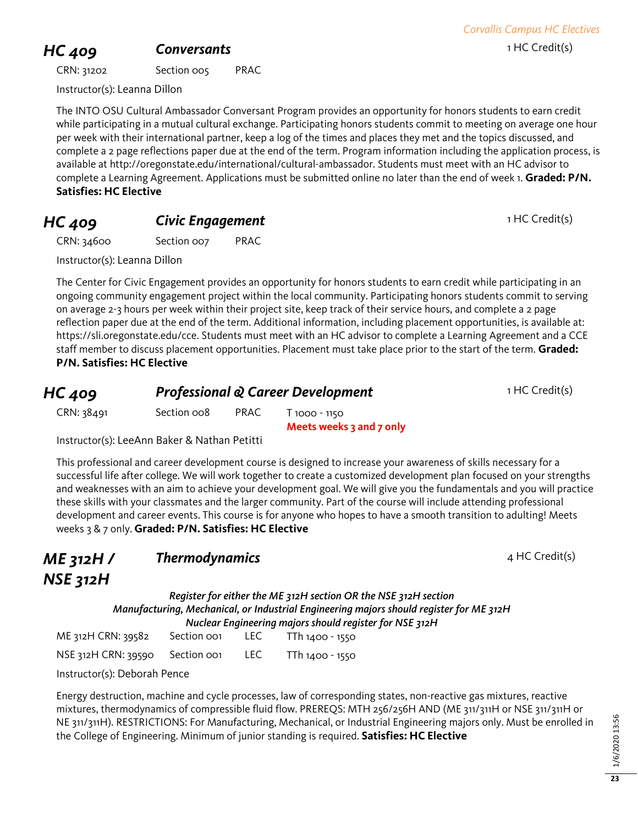## **HC 409 Conversants Conversants 1 HC Credit(s)**

CRN: 31202 Section 005 PRAC

Instructor(s): Leanna Dillon

The INTO OSU Cultural Ambassador Conversant Program provides an opportunity for honors students to earn credit while participating in a mutual cultural exchange. Participating honors students commit to meeting on average one hour per week with their international partner, keep a log of the times and places they met and the topics discussed, and complete a 2 page reflections paper due at the end of the term. Program information including the application process, is available at http://oregonstate.edu/international/cultural-ambassador. Students must meet with an HC advisor to complete a Learning Agreement. Applications must be submitted online no later than the end of week 1. **Graded: P/N. Satisfies: HC Elective**

### **HC 409 Civic Engagement Civic Engagement** 1 HC Credit(s)

CRN: 34600 Section 007 PRAC

Instructor(s): Leanna Dillon

The Center for Civic Engagement provides an opportunity for honors students to earn credit while participating in an ongoing community engagement project within the local community. Participating honors students commit to serving on average 2-3 hours per week within their project site, keep track of their service hours, and complete a 2 page reflection paper due at the end of the term. Additional information, including placement opportunities, is available at: https://sli.oregonstate.edu/cce. Students must meet with an HC advisor to complete a Learning Agreement and a CCE staff member to discuss placement opportunities. Placement must take place prior to the start of the term. **Graded: P/N. Satisfies: HC Elective**

| HC 409     | <b>Professional &amp; Career Development</b> | 1 HC Credit(s) |                          |  |
|------------|----------------------------------------------|----------------|--------------------------|--|
| CRN: 38491 | Section oo8                                  | <b>PRAC</b>    | T 1000 - 1150            |  |
|            |                                              |                | Meets weeks 3 and 7 only |  |

Instructor(s): LeeAnn Baker & Nathan Petitti

This professional and career development course is designed to increase your awareness of skills necessary for a successful life after college. We will work together to create a customized development plan focused on your strengths and weaknesses with an aim to achieve your development goal. We will give you the fundamentals and you will practice these skills with your classmates and the larger community. Part of the course will include attending professional development and career events. This course is for anyone who hopes to have a smooth transition to adulting! Meets weeks 3 & 7 only. **Graded: P/N. Satisfies: HC Elective**

### *ME 312H / NSE 312H* **Thermodynamics** 4 HC Credit(s)

*Register for either the ME 312H section OR the NSE 312H section Manufacturing, Mechanical, or Industrial Engineering majors should register for ME 312H Nuclear Engineering majors should register for NSE 312H*

| ME 312H CRN: 39582              | Section oo1 | LEC. | TTh 1400 - 1550 |
|---------------------------------|-------------|------|-----------------|
| NSE 312H CRN: 39590 Section 001 |             | LEC. | TTh 1400 - 1550 |

Instructor(s): Deborah Pence

Energy destruction, machine and cycle processes, law of corresponding states, non-reactive gas mixtures, reactive mixtures, thermodynamics of compressible fluid flow. PREREQS: MTH 256/256H AND (ME 311/311H or NSE 311/311H or NE 311/311H). RESTRICTIONS: For Manufacturing, Mechanical, or Industrial Engineering majors only. Must be enrolled in the College of Engineering. Minimum of junior standing is required. **Satisfies: HC Elective**

# *Corvallis Campus HC Electives*

**23**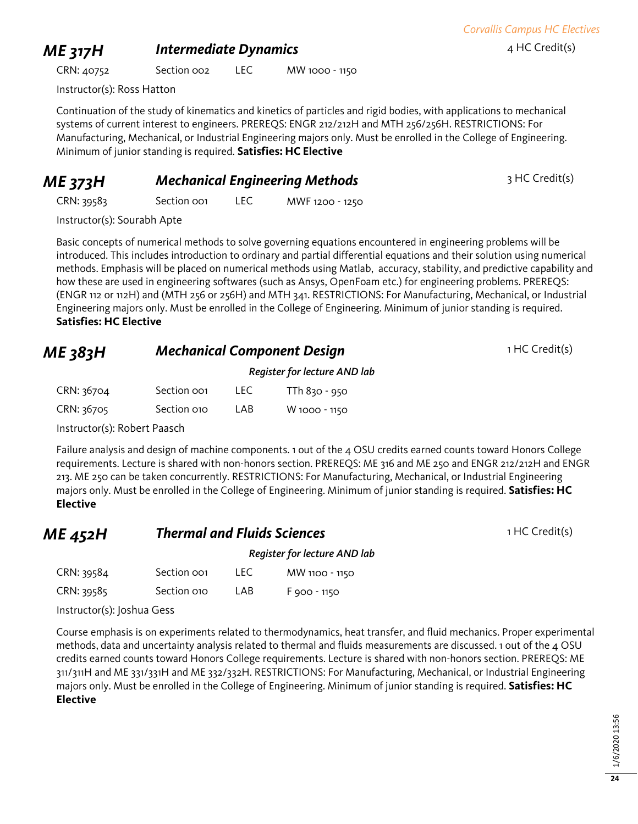*Corvallis Campus HC Electives*

### **ME 317H Intermediate Dynamics** *A* **HC Credit(s)**

CRN: 40752 Section 002 LEC MW 1000 - 1150

Instructor(s): Ross Hatton

Continuation of the study of kinematics and kinetics of particles and rigid bodies, with applications to mechanical systems of current interest to engineers. PREREQS: ENGR 212/212H and MTH 256/256H. RESTRICTIONS: For Manufacturing, Mechanical, or Industrial Engineering majors only. Must be enrolled in the College of Engineering. Minimum of junior standing is required. **Satisfies: HC Elective**

### **ME 373H Mechanical Engineering Methods** 3 HC Credit(s)

CRN: 39583 Section 001 LEC MWF 1200 - 1250

Instructor(s): Sourabh Apte

Basic concepts of numerical methods to solve governing equations encountered in engineering problems will be introduced. This includes introduction to ordinary and partial differential equations and their solution using numerical methods. Emphasis will be placed on numerical methods using Matlab, accuracy, stability, and predictive capability and how these are used in engineering softwares (such as Ansys, OpenFoam etc.) for engineering problems. PREREQS: (ENGR 112 or 112H) and (MTH 256 or 256H) and MTH 341. RESTRICTIONS: For Manufacturing, Mechanical, or Industrial Engineering majors only. Must be enrolled in the College of Engineering. Minimum of junior standing is required. **Satisfies: HC Elective**

## **ME 383H Mechanical Component Design 1 HC Credit(s)**

*Register for lecture AND lab*

| CRN: 36704                  | Section oo1 | LEC. | TTh 830 - 950 |  |  |
|-----------------------------|-------------|------|---------------|--|--|
| CRN: 36705                  | Section 010 | LAB  | W 1000 - 1150 |  |  |
| $\sim$ $\sim$ $\sim$ $\sim$ |             |      |               |  |  |

Instructor(s): Robert Paasch

Failure analysis and design of machine components. 1 out of the 4 OSU credits earned counts toward Honors College requirements. Lecture is shared with non-honors section. PREREQS: ME 316 and ME 250 and ENGR 212/212H and ENGR 213. ME 250 can be taken concurrently. RESTRICTIONS: For Manufacturing, Mechanical, or Industrial Engineering majors only. Must be enrolled in the College of Engineering. Minimum of junior standing is required. **Satisfies: HC Elective**

| ME 452H    | <b>Thermal and Fluids Sciences</b><br>Register for lecture AND lab |      |                | 1 HC Credit(s) |
|------------|--------------------------------------------------------------------|------|----------------|----------------|
|            |                                                                    |      |                |                |
| CRN: 39584 | Section oo1                                                        | LEC. | MW 1100 - 1150 |                |
| CRN: 39585 | Section 010                                                        | LAB  | F 900 - 1150   |                |

Instructor(s): Joshua Gess

Course emphasis is on experiments related to thermodynamics, heat transfer, and fluid mechanics. Proper experimental methods, data and uncertainty analysis related to thermal and fluids measurements are discussed. 1 out of the 4 OSU credits earned counts toward Honors College requirements. Lecture is shared with non-honors section. PREREQS: ME 311/311H and ME 331/331H and ME 332/332H. RESTRICTIONS: For Manufacturing, Mechanical, or Industrial Engineering majors only. Must be enrolled in the College of Engineering. Minimum of junior standing is required. **Satisfies: HC Elective**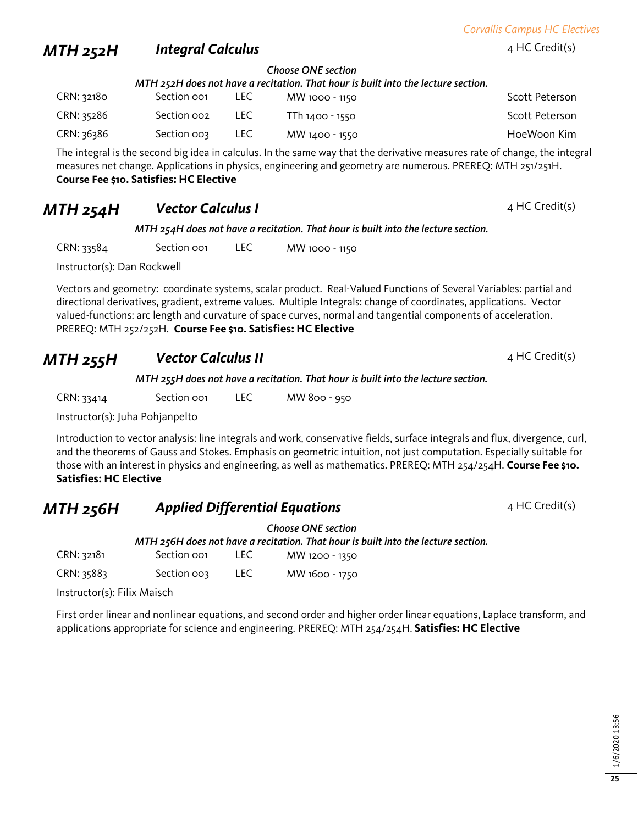*Corvallis Campus HC Electives*

### *MTH 252H Integral Calculus* <sup>4</sup> HC Credit(s)

*Choose ONE section*

| MTH 252H does not have a recitation. That hour is built into the lecture section. |             |       |                 |                |  |
|-----------------------------------------------------------------------------------|-------------|-------|-----------------|----------------|--|
| CRN: 32180                                                                        | Section oo1 | LEC . | MW 1000 - 1150  | Scott Peterson |  |
| CRN: 35286                                                                        | Section oo2 | LEC . | TTh 1400 - 1550 | Scott Peterson |  |
| CRN: 36386                                                                        | Section oos | LEC . | MW 1400 - 1550  | HoeWoon Kim    |  |

The integral is the second big idea in calculus. In the same way that the derivative measures rate of change, the integral measures net change. Applications in physics, engineering and geometry are numerous. PREREQ: MTH 251/251H. **Course Fee \$10. Satisfies: HC Elective**

### **MTH 254H Vector Calculus I Additional Additional AMTH 254HC** Credit(s)

*MTH 254H does not have a recitation. That hour is built into the lecture section.* 

CRN: 33584 Section 001 LEC MW 1000 - 1150

Instructor(s): Dan Rockwell

Vectors and geometry: coordinate systems, scalar product. Real-Valued Functions of Several Variables: partial and directional derivatives, gradient, extreme values. Multiple Integrals: change of coordinates, applications. Vector valued-functions: arc length and curvature of space curves, normal and tangential components of acceleration. PREREQ: MTH 252/252H. **Course Fee \$10. Satisfies: HC Elective**

### **MTH 255H Vector Calculus II Additional Additional AMTH 255H Vector Calculus II**

*MTH 255H does not have a recitation. That hour is built into the lecture section.* 

CRN: 33414 Section 001 LEC MW 800 - 950

Instructor(s): Juha Pohjanpelto

Introduction to vector analysis: line integrals and work, conservative fields, surface integrals and flux, divergence, curl, and the theorems of Gauss and Stokes. Emphasis on geometric intuition, not just computation. Especially suitable for those with an interest in physics and engineering, as well as mathematics. PREREQ: MTH 254/254H. **Course Fee \$10. Satisfies: HC Elective**

### **MTH 256H Applied Differential Equations Additional Additional Additional Additional Additional Additional Additional Additional Additional Additional Additional Additional Additional Additional Additional Additional A**

*Choose ONE section MTH 256H does not have a recitation. That hour is built into the lecture section.*  CRN: 32181 Section 001 LEC MW 1200 - 1350 CRN: 35883 Section 003 LEC MW 1600 - 1750

Instructor(s): Filix Maisch

First order linear and nonlinear equations, and second order and higher order linear equations, Laplace transform, and applications appropriate for science and engineering. PREREQ: MTH 254/254H. **Satisfies: HC Elective**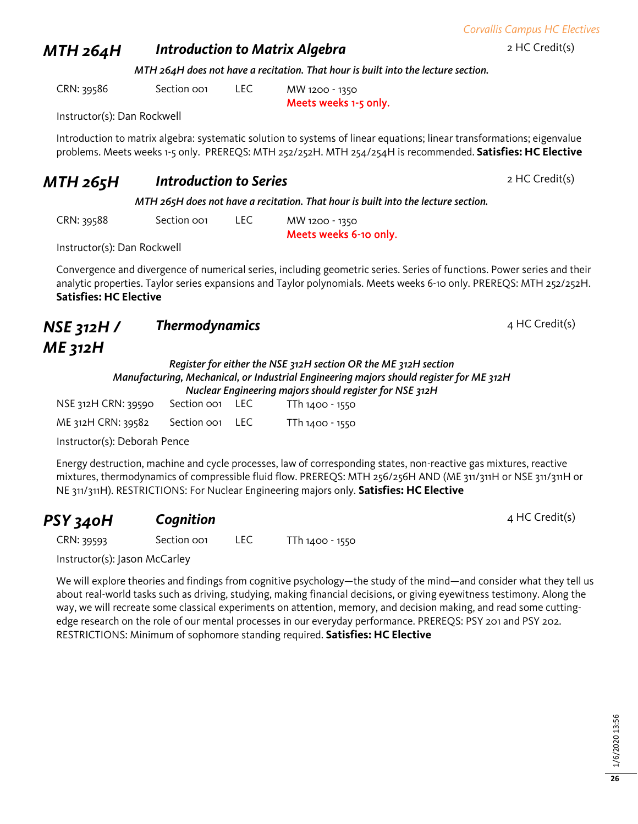### **MTH 264H Introduction to Matrix Algebra 2 HC Credit(s)** 2 HC Credit(s)

*MTH 264H does not have a recitation. That hour is built into the lecture section.*

CRN: 39586 Section 001 LEC MW 1200 - 1350

Meets weeks 1-5 only.

Instructor(s): Dan Rockwell

Introduction to matrix algebra: systematic solution to systems of linear equations; linear transformations; eigenvalue problems. Meets weeks 1-5 only. PREREQS: MTH 252/252H. MTH 254/254H is recommended. **Satisfies: HC Elective**

### **MTH 265H Introduction to Series** 2 HC Credit(s)

*MTH 265H does not have a recitation. That hour is built into the lecture section.*

CRN: 39588 Section 001 LEC MW 1200 - 1350

Meets weeks 6-10 only.

Instructor(s): Dan Rockwell

Convergence and divergence of numerical series, including geometric series. Series of functions. Power series and their analytic properties. Taylor series expansions and Taylor polynomials. Meets weeks 6-10 only. PREREQS: MTH 252/252H. **Satisfies: HC Elective**

### *NSE 312H / ME 312H* **Thermodynamics** 4 HC Credit(s)

### *Register for either the NSE 312H section OR the ME 312H section Manufacturing, Mechanical, or Industrial Engineering majors should register for ME 312H Nuclear Engineering majors should register for NSE 312H*

| NSE 312H CRN: 39590 | Section oo1 LEC             | TTh 1400 - 1550 |
|---------------------|-----------------------------|-----------------|
| ME 312H CRN: 39582  | Section oo <sub>1</sub> LEC | TTh 1400 - 1550 |

Instructor(s): Deborah Pence

Energy destruction, machine and cycle processes, law of corresponding states, non-reactive gas mixtures, reactive mixtures, thermodynamics of compressible fluid flow. PREREQS: MTH 256/256H AND (ME 311/311H or NSE 311/311H or NE 311/311H). RESTRICTIONS: For Nuclear Engineering majors only. **Satisfies: HC Elective**

## **PSY 340H Cognition Cognition Cognition Cognition C**

CRN: 39593 Section 001 LEC TTh 1400 - 1550

Instructor(s): Jason McCarley

We will explore theories and findings from cognitive psychology—the study of the mind—and consider what they tell us about real-world tasks such as driving, studying, making financial decisions, or giving eyewitness testimony. Along the way, we will recreate some classical experiments on attention, memory, and decision making, and read some cuttingedge research on the role of our mental processes in our everyday performance. PREREQS: PSY 201 and PSY 202. RESTRICTIONS: Minimum of sophomore standing required. **Satisfies: HC Elective**

*Corvallis Campus HC Electives*

**26**